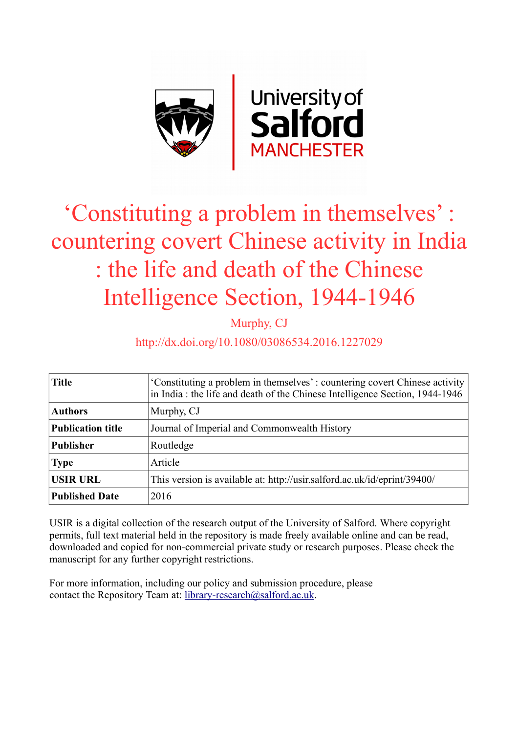

# 'Constituting a problem in themselves' : countering covert Chinese activity in India : the life and death of the Chinese Intelligence Section, 1944-1946

Murphy, CJ

# http://dx.doi.org/10.1080/03086534.2016.1227029

| <b>Title</b>             | 'Constituting a problem in themselves': countering covert Chinese activity<br>in India: the life and death of the Chinese Intelligence Section, 1944-1946 |
|--------------------------|-----------------------------------------------------------------------------------------------------------------------------------------------------------|
| <b>Authors</b>           | Murphy, CJ                                                                                                                                                |
| <b>Publication title</b> | Journal of Imperial and Commonwealth History                                                                                                              |
| <b>Publisher</b>         | Routledge                                                                                                                                                 |
| <b>Type</b>              | Article                                                                                                                                                   |
| <b>USIR URL</b>          | This version is available at: http://usir.salford.ac.uk/id/eprint/39400/                                                                                  |
| <b>Published Date</b>    | 2016                                                                                                                                                      |

USIR is a digital collection of the research output of the University of Salford. Where copyright permits, full text material held in the repository is made freely available online and can be read, downloaded and copied for non-commercial private study or research purposes. Please check the manuscript for any further copyright restrictions.

For more information, including our policy and submission procedure, please contact the Repository Team at: [library-research@salford.ac.uk.](mailto:library-research@salford.ac.uk)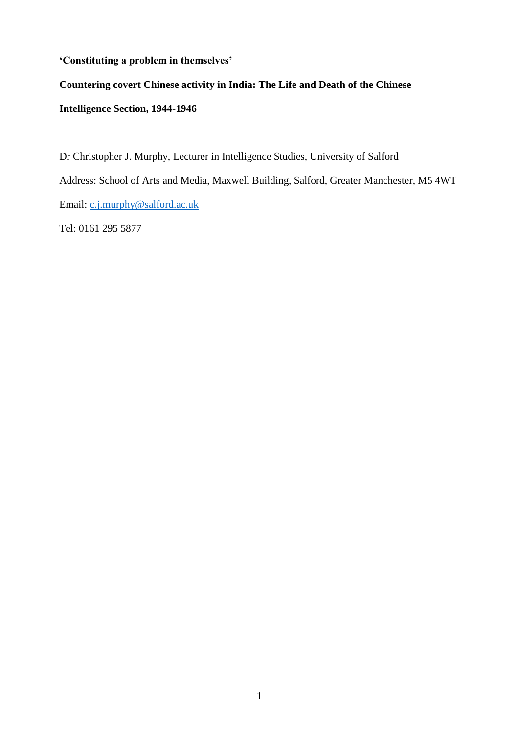### **'Constituting a problem in themselves'**

## **Countering covert Chinese activity in India: The Life and Death of the Chinese**

# **Intelligence Section, 1944-1946**

Dr Christopher J. Murphy, Lecturer in Intelligence Studies, University of Salford Address: School of Arts and Media, Maxwell Building, Salford, Greater Manchester, M5 4WT Email: [c.j.murphy@salford.ac.uk](mailto:c.j.murphy@salford.ac.uk)

Tel: 0161 295 5877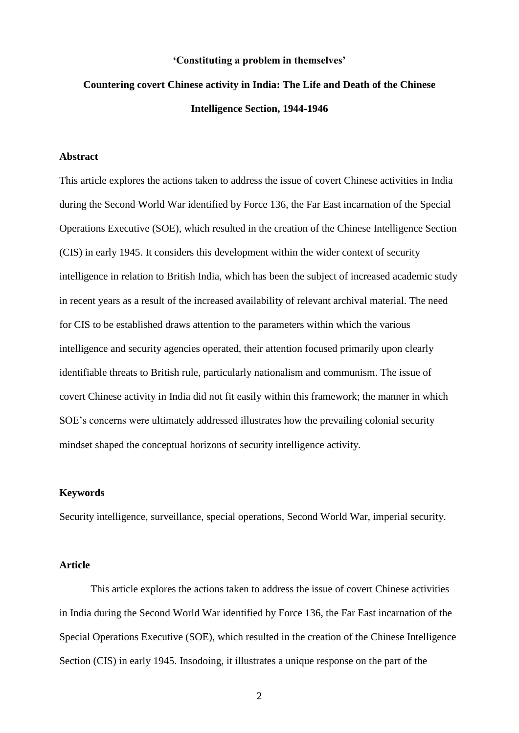#### **'Constituting a problem in themselves'**

# **Countering covert Chinese activity in India: The Life and Death of the Chinese Intelligence Section, 1944-1946**

#### **Abstract**

This article explores the actions taken to address the issue of covert Chinese activities in India during the Second World War identified by Force 136, the Far East incarnation of the Special Operations Executive (SOE), which resulted in the creation of the Chinese Intelligence Section (CIS) in early 1945. It considers this development within the wider context of security intelligence in relation to British India, which has been the subject of increased academic study in recent years as a result of the increased availability of relevant archival material. The need for CIS to be established draws attention to the parameters within which the various intelligence and security agencies operated, their attention focused primarily upon clearly identifiable threats to British rule, particularly nationalism and communism. The issue of covert Chinese activity in India did not fit easily within this framework; the manner in which SOE's concerns were ultimately addressed illustrates how the prevailing colonial security mindset shaped the conceptual horizons of security intelligence activity.

#### **Keywords**

Security intelligence, surveillance, special operations, Second World War, imperial security.

#### **Article**

This article explores the actions taken to address the issue of covert Chinese activities in India during the Second World War identified by Force 136, the Far East incarnation of the Special Operations Executive (SOE), which resulted in the creation of the Chinese Intelligence Section (CIS) in early 1945. Insodoing, it illustrates a unique response on the part of the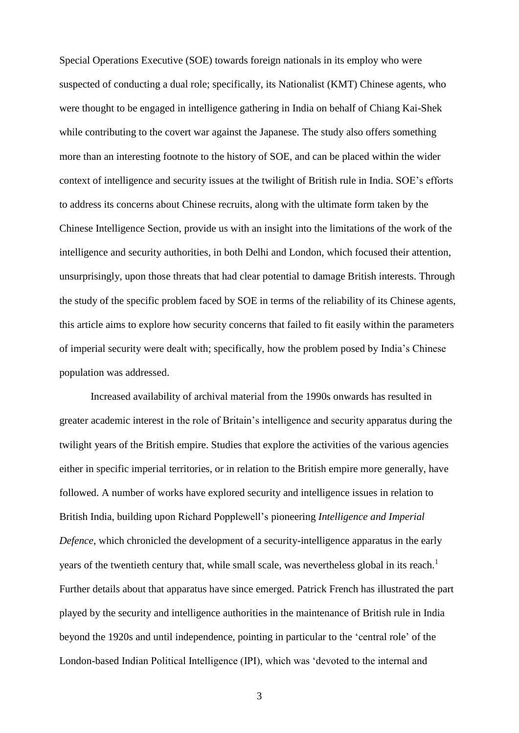Special Operations Executive (SOE) towards foreign nationals in its employ who were suspected of conducting a dual role; specifically, its Nationalist (KMT) Chinese agents, who were thought to be engaged in intelligence gathering in India on behalf of Chiang Kai-Shek while contributing to the covert war against the Japanese. The study also offers something more than an interesting footnote to the history of SOE, and can be placed within the wider context of intelligence and security issues at the twilight of British rule in India. SOE's efforts to address its concerns about Chinese recruits, along with the ultimate form taken by the Chinese Intelligence Section, provide us with an insight into the limitations of the work of the intelligence and security authorities, in both Delhi and London, which focused their attention, unsurprisingly, upon those threats that had clear potential to damage British interests. Through the study of the specific problem faced by SOE in terms of the reliability of its Chinese agents, this article aims to explore how security concerns that failed to fit easily within the parameters of imperial security were dealt with; specifically, how the problem posed by India's Chinese population was addressed.

Increased availability of archival material from the 1990s onwards has resulted in greater academic interest in the role of Britain's intelligence and security apparatus during the twilight years of the British empire. Studies that explore the activities of the various agencies either in specific imperial territories, or in relation to the British empire more generally, have followed. A number of works have explored security and intelligence issues in relation to British India, building upon Richard Popplewell's pioneering *Intelligence and Imperial Defence*, which chronicled the development of a security-intelligence apparatus in the early years of the twentieth century that, while small scale, was nevertheless global in its reach.<sup>1</sup> Further details about that apparatus have since emerged. Patrick French has illustrated the part played by the security and intelligence authorities in the maintenance of British rule in India beyond the 1920s and until independence, pointing in particular to the 'central role' of the London-based Indian Political Intelligence (IPI), which was 'devoted to the internal and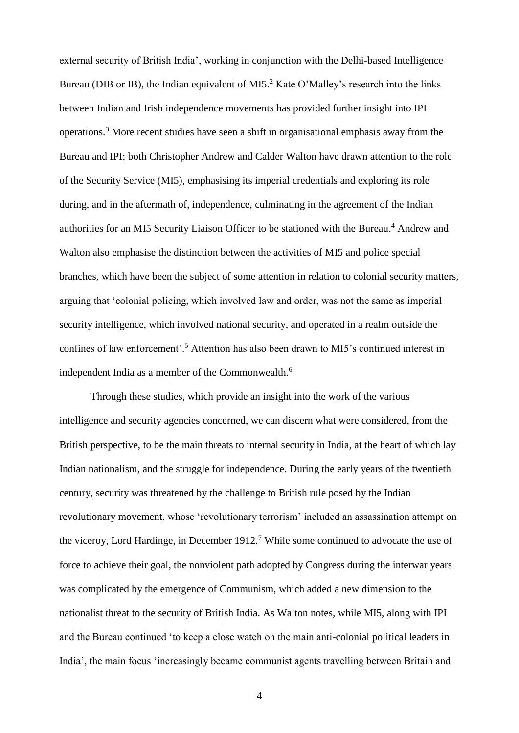external security of British India', working in conjunction with the Delhi-based Intelligence Bureau (DIB or IB), the Indian equivalent of MI5.<sup>2</sup> Kate O'Malley's research into the links between Indian and Irish independence movements has provided further insight into IPI operations.<sup>3</sup> More recent studies have seen a shift in organisational emphasis away from the Bureau and IPI; both Christopher Andrew and Calder Walton have drawn attention to the role of the Security Service (MI5), emphasising its imperial credentials and exploring its role during, and in the aftermath of, independence, culminating in the agreement of the Indian authorities for an MI5 Security Liaison Officer to be stationed with the Bureau. <sup>4</sup> Andrew and Walton also emphasise the distinction between the activities of MI5 and police special branches, which have been the subject of some attention in relation to colonial security matters, arguing that 'colonial policing, which involved law and order, was not the same as imperial security intelligence, which involved national security, and operated in a realm outside the confines of law enforcement'.<sup>5</sup> Attention has also been drawn to MI5's continued interest in independent India as a member of the Commonwealth.<sup>6</sup>

Through these studies, which provide an insight into the work of the various intelligence and security agencies concerned, we can discern what were considered, from the British perspective, to be the main threats to internal security in India, at the heart of which lay Indian nationalism, and the struggle for independence. During the early years of the twentieth century, security was threatened by the challenge to British rule posed by the Indian revolutionary movement, whose 'revolutionary terrorism' included an assassination attempt on the viceroy, Lord Hardinge, in December 1912.<sup>7</sup> While some continued to advocate the use of force to achieve their goal, the nonviolent path adopted by Congress during the interwar years was complicated by the emergence of Communism, which added a new dimension to the nationalist threat to the security of British India. As Walton notes, while MI5, along with IPI and the Bureau continued 'to keep a close watch on the main anti-colonial political leaders in India', the main focus 'increasingly became communist agents travelling between Britain and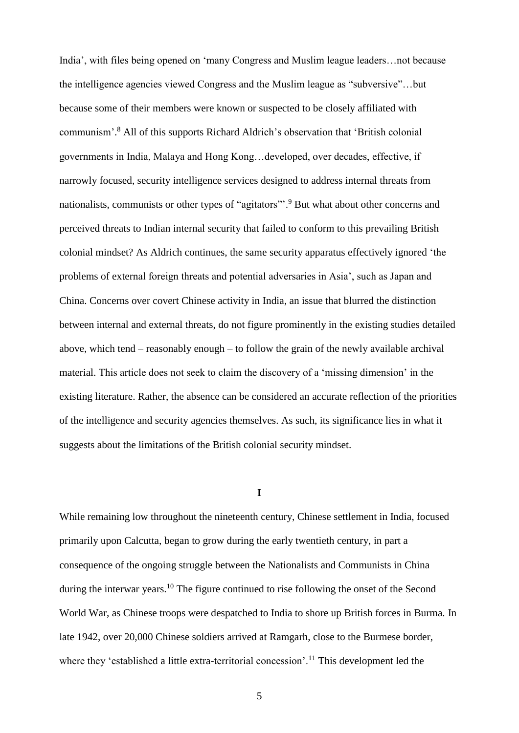India', with files being opened on 'many Congress and Muslim league leaders…not because the intelligence agencies viewed Congress and the Muslim league as "subversive"…but because some of their members were known or suspected to be closely affiliated with communism'. <sup>8</sup> All of this supports Richard Aldrich's observation that 'British colonial governments in India, Malaya and Hong Kong…developed, over decades, effective, if narrowly focused, security intelligence services designed to address internal threats from nationalists, communists or other types of "agitators"<sup>3</sup>. But what about other concerns and perceived threats to Indian internal security that failed to conform to this prevailing British colonial mindset? As Aldrich continues, the same security apparatus effectively ignored 'the problems of external foreign threats and potential adversaries in Asia', such as Japan and China. Concerns over covert Chinese activity in India, an issue that blurred the distinction between internal and external threats, do not figure prominently in the existing studies detailed above, which tend – reasonably enough – to follow the grain of the newly available archival material. This article does not seek to claim the discovery of a 'missing dimension' in the existing literature. Rather, the absence can be considered an accurate reflection of the priorities of the intelligence and security agencies themselves. As such, its significance lies in what it suggests about the limitations of the British colonial security mindset.

**I**

While remaining low throughout the nineteenth century, Chinese settlement in India, focused primarily upon Calcutta, began to grow during the early twentieth century, in part a consequence of the ongoing struggle between the Nationalists and Communists in China during the interwar years.<sup>10</sup> The figure continued to rise following the onset of the Second World War, as Chinese troops were despatched to India to shore up British forces in Burma. In late 1942, over 20,000 Chinese soldiers arrived at Ramgarh, close to the Burmese border, where they 'established a little extra-territorial concession'.<sup>11</sup> This development led the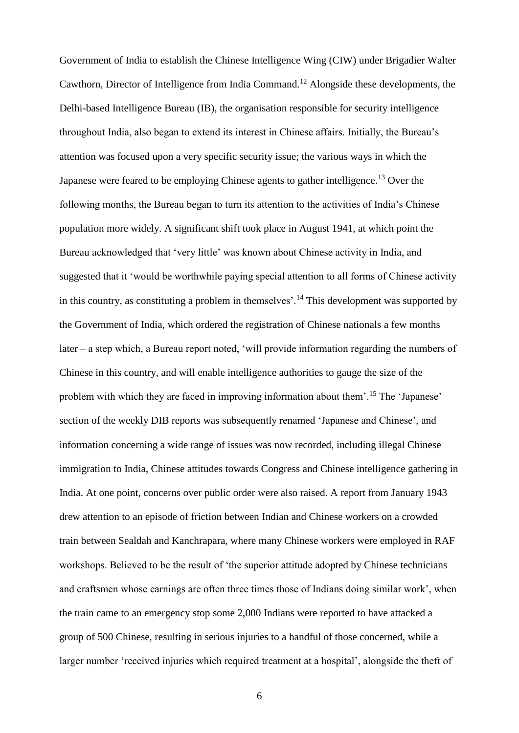Government of India to establish the Chinese Intelligence Wing (CIW) under Brigadier Walter Cawthorn, Director of Intelligence from India Command.<sup>12</sup> Alongside these developments, the Delhi-based Intelligence Bureau (IB), the organisation responsible for security intelligence throughout India, also began to extend its interest in Chinese affairs. Initially, the Bureau's attention was focused upon a very specific security issue; the various ways in which the Japanese were feared to be employing Chinese agents to gather intelligence.<sup>13</sup> Over the following months, the Bureau began to turn its attention to the activities of India's Chinese population more widely. A significant shift took place in August 1941, at which point the Bureau acknowledged that 'very little' was known about Chinese activity in India, and suggested that it 'would be worthwhile paying special attention to all forms of Chinese activity in this country, as constituting a problem in themselves'.<sup>14</sup> This development was supported by the Government of India, which ordered the registration of Chinese nationals a few months later – a step which, a Bureau report noted, 'will provide information regarding the numbers of Chinese in this country, and will enable intelligence authorities to gauge the size of the problem with which they are faced in improving information about them'.<sup>15</sup> The 'Japanese' section of the weekly DIB reports was subsequently renamed 'Japanese and Chinese', and information concerning a wide range of issues was now recorded, including illegal Chinese immigration to India, Chinese attitudes towards Congress and Chinese intelligence gathering in India. At one point, concerns over public order were also raised. A report from January 1943 drew attention to an episode of friction between Indian and Chinese workers on a crowded train between Sealdah and Kanchrapara, where many Chinese workers were employed in RAF workshops. Believed to be the result of 'the superior attitude adopted by Chinese technicians and craftsmen whose earnings are often three times those of Indians doing similar work', when the train came to an emergency stop some 2,000 Indians were reported to have attacked a group of 500 Chinese, resulting in serious injuries to a handful of those concerned, while a larger number 'received injuries which required treatment at a hospital', alongside the theft of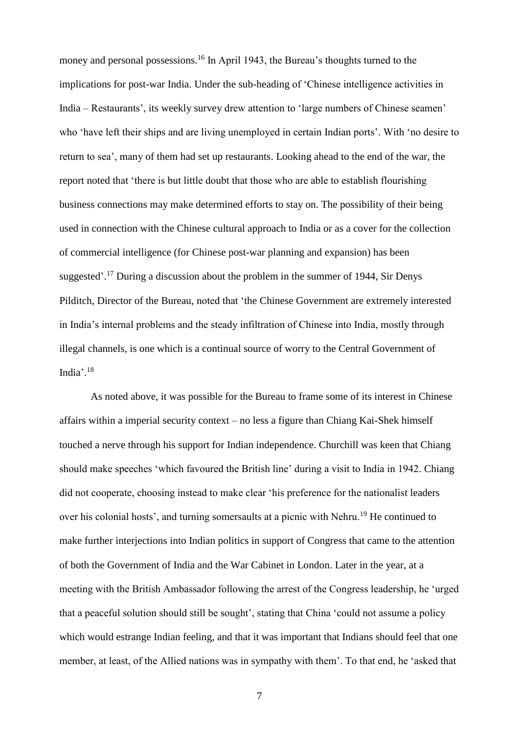money and personal possessions.<sup>16</sup> In April 1943, the Bureau's thoughts turned to the implications for post-war India. Under the sub-heading of 'Chinese intelligence activities in India – Restaurants', its weekly survey drew attention to 'large numbers of Chinese seamen' who 'have left their ships and are living unemployed in certain Indian ports'. With 'no desire to return to sea', many of them had set up restaurants. Looking ahead to the end of the war, the report noted that 'there is but little doubt that those who are able to establish flourishing business connections may make determined efforts to stay on. The possibility of their being used in connection with the Chinese cultural approach to India or as a cover for the collection of commercial intelligence (for Chinese post-war planning and expansion) has been suggested'.<sup>17</sup> During a discussion about the problem in the summer of 1944, Sir Denys Pilditch, Director of the Bureau, noted that 'the Chinese Government are extremely interested in India's internal problems and the steady infiltration of Chinese into India, mostly through illegal channels, is one which is a continual source of worry to the Central Government of India'. 18

As noted above, it was possible for the Bureau to frame some of its interest in Chinese affairs within a imperial security context – no less a figure than Chiang Kai-Shek himself touched a nerve through his support for Indian independence. Churchill was keen that Chiang should make speeches 'which favoured the British line' during a visit to India in 1942. Chiang did not cooperate, choosing instead to make clear 'his preference for the nationalist leaders over his colonial hosts', and turning somersaults at a picnic with Nehru.<sup>19</sup> He continued to make further interjections into Indian politics in support of Congress that came to the attention of both the Government of India and the War Cabinet in London. Later in the year, at a meeting with the British Ambassador following the arrest of the Congress leadership, he 'urged that a peaceful solution should still be sought', stating that China 'could not assume a policy which would estrange Indian feeling, and that it was important that Indians should feel that one member, at least, of the Allied nations was in sympathy with them'. To that end, he 'asked that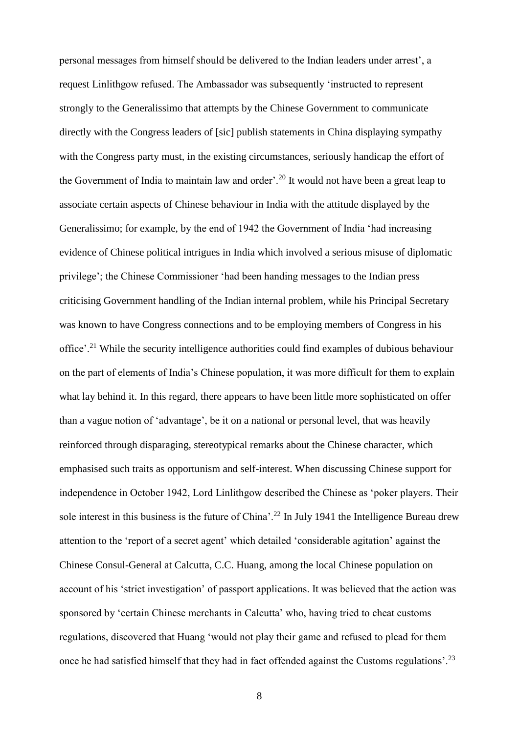personal messages from himself should be delivered to the Indian leaders under arrest', a request Linlithgow refused. The Ambassador was subsequently 'instructed to represent strongly to the Generalissimo that attempts by the Chinese Government to communicate directly with the Congress leaders of [sic] publish statements in China displaying sympathy with the Congress party must, in the existing circumstances, seriously handicap the effort of the Government of India to maintain law and order'.<sup>20</sup> It would not have been a great leap to associate certain aspects of Chinese behaviour in India with the attitude displayed by the Generalissimo; for example, by the end of 1942 the Government of India 'had increasing evidence of Chinese political intrigues in India which involved a serious misuse of diplomatic privilege'; the Chinese Commissioner 'had been handing messages to the Indian press criticising Government handling of the Indian internal problem, while his Principal Secretary was known to have Congress connections and to be employing members of Congress in his office'.<sup>21</sup> While the security intelligence authorities could find examples of dubious behaviour on the part of elements of India's Chinese population, it was more difficult for them to explain what lay behind it. In this regard, there appears to have been little more sophisticated on offer than a vague notion of 'advantage', be it on a national or personal level, that was heavily reinforced through disparaging, stereotypical remarks about the Chinese character, which emphasised such traits as opportunism and self-interest. When discussing Chinese support for independence in October 1942, Lord Linlithgow described the Chinese as 'poker players. Their sole interest in this business is the future of China'.<sup>22</sup> In July 1941 the Intelligence Bureau drew attention to the 'report of a secret agent' which detailed 'considerable agitation' against the Chinese Consul-General at Calcutta, C.C. Huang, among the local Chinese population on account of his 'strict investigation' of passport applications. It was believed that the action was sponsored by 'certain Chinese merchants in Calcutta' who, having tried to cheat customs regulations, discovered that Huang 'would not play their game and refused to plead for them once he had satisfied himself that they had in fact offended against the Customs regulations'.<sup>23</sup>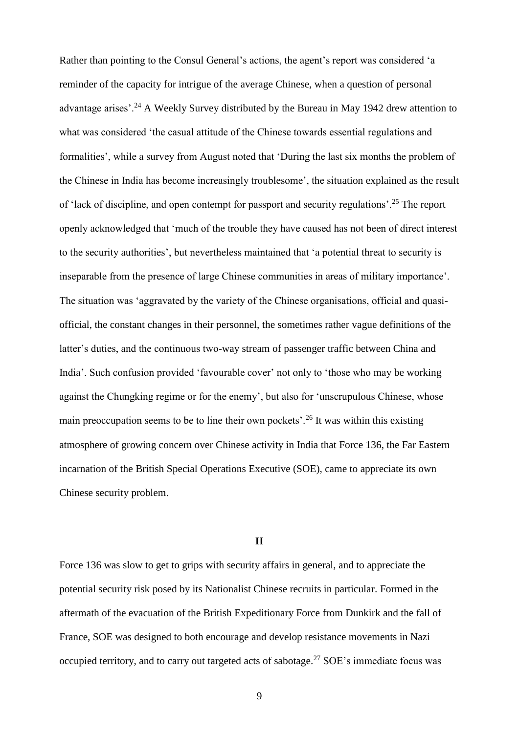Rather than pointing to the Consul General's actions, the agent's report was considered 'a reminder of the capacity for intrigue of the average Chinese, when a question of personal advantage arises'.<sup>24</sup> A Weekly Survey distributed by the Bureau in May 1942 drew attention to what was considered 'the casual attitude of the Chinese towards essential regulations and formalities', while a survey from August noted that 'During the last six months the problem of the Chinese in India has become increasingly troublesome', the situation explained as the result of 'lack of discipline, and open contempt for passport and security regulations'.<sup>25</sup> The report openly acknowledged that 'much of the trouble they have caused has not been of direct interest to the security authorities', but nevertheless maintained that 'a potential threat to security is inseparable from the presence of large Chinese communities in areas of military importance'. The situation was 'aggravated by the variety of the Chinese organisations, official and quasiofficial, the constant changes in their personnel, the sometimes rather vague definitions of the latter's duties, and the continuous two-way stream of passenger traffic between China and India'. Such confusion provided 'favourable cover' not only to 'those who may be working against the Chungking regime or for the enemy', but also for 'unscrupulous Chinese, whose main preoccupation seems to be to line their own pockets'.<sup>26</sup> It was within this existing atmosphere of growing concern over Chinese activity in India that Force 136, the Far Eastern incarnation of the British Special Operations Executive (SOE), came to appreciate its own Chinese security problem.

#### **II**

Force 136 was slow to get to grips with security affairs in general, and to appreciate the potential security risk posed by its Nationalist Chinese recruits in particular. Formed in the aftermath of the evacuation of the British Expeditionary Force from Dunkirk and the fall of France, SOE was designed to both encourage and develop resistance movements in Nazi occupied territory, and to carry out targeted acts of sabotage.<sup>27</sup> SOE's immediate focus was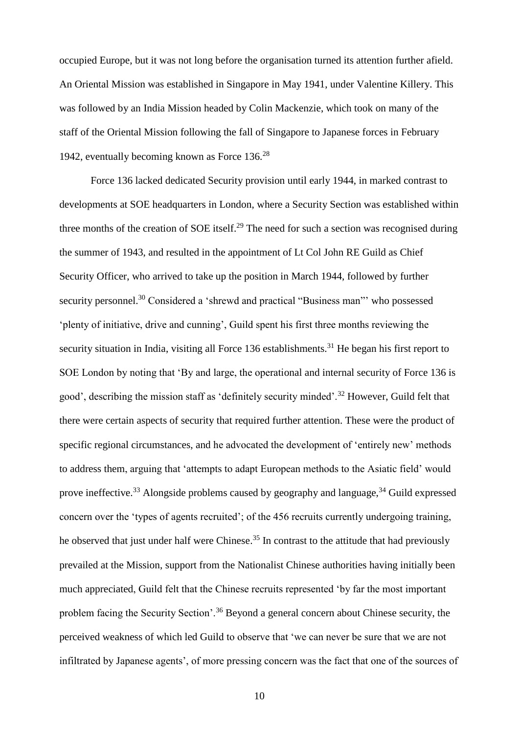occupied Europe, but it was not long before the organisation turned its attention further afield. An Oriental Mission was established in Singapore in May 1941, under Valentine Killery. This was followed by an India Mission headed by Colin Mackenzie, which took on many of the staff of the Oriental Mission following the fall of Singapore to Japanese forces in February 1942, eventually becoming known as Force 136.<sup>28</sup>

Force 136 lacked dedicated Security provision until early 1944, in marked contrast to developments at SOE headquarters in London, where a Security Section was established within three months of the creation of SOE itself.<sup>29</sup> The need for such a section was recognised during the summer of 1943, and resulted in the appointment of Lt Col John RE Guild as Chief Security Officer, who arrived to take up the position in March 1944, followed by further security personnel.<sup>30</sup> Considered a 'shrewd and practical "Business man"' who possessed 'plenty of initiative, drive and cunning', Guild spent his first three months reviewing the security situation in India, visiting all Force 136 establishments.<sup>31</sup> He began his first report to SOE London by noting that 'By and large, the operational and internal security of Force 136 is good', describing the mission staff as 'definitely security minded'.<sup>32</sup> However, Guild felt that there were certain aspects of security that required further attention. These were the product of specific regional circumstances, and he advocated the development of 'entirely new' methods to address them, arguing that 'attempts to adapt European methods to the Asiatic field' would prove ineffective.<sup>33</sup> Alongside problems caused by geography and language.<sup>34</sup> Guild expressed concern over the 'types of agents recruited'; of the 456 recruits currently undergoing training, he observed that just under half were Chinese.<sup>35</sup> In contrast to the attitude that had previously prevailed at the Mission, support from the Nationalist Chinese authorities having initially been much appreciated, Guild felt that the Chinese recruits represented 'by far the most important problem facing the Security Section'.<sup>36</sup> Beyond a general concern about Chinese security, the perceived weakness of which led Guild to observe that 'we can never be sure that we are not infiltrated by Japanese agents', of more pressing concern was the fact that one of the sources of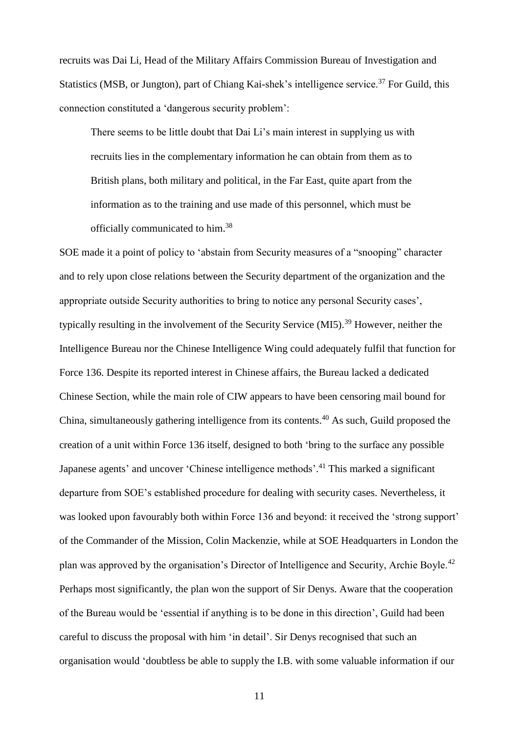recruits was Dai Li, Head of the Military Affairs Commission Bureau of Investigation and Statistics (MSB, or Jungton), part of Chiang Kai-shek's intelligence service.<sup>37</sup> For Guild, this connection constituted a 'dangerous security problem':

There seems to be little doubt that Dai Li's main interest in supplying us with recruits lies in the complementary information he can obtain from them as to British plans, both military and political, in the Far East, quite apart from the information as to the training and use made of this personnel, which must be officially communicated to him.<sup>38</sup>

SOE made it a point of policy to 'abstain from Security measures of a "snooping" character and to rely upon close relations between the Security department of the organization and the appropriate outside Security authorities to bring to notice any personal Security cases', typically resulting in the involvement of the Security Service (MI5).<sup>39</sup> However, neither the Intelligence Bureau nor the Chinese Intelligence Wing could adequately fulfil that function for Force 136. Despite its reported interest in Chinese affairs, the Bureau lacked a dedicated Chinese Section, while the main role of CIW appears to have been censoring mail bound for China, simultaneously gathering intelligence from its contents.<sup>40</sup> As such, Guild proposed the creation of a unit within Force 136 itself, designed to both 'bring to the surface any possible Japanese agents' and uncover 'Chinese intelligence methods'.<sup>41</sup> This marked a significant departure from SOE's established procedure for dealing with security cases. Nevertheless, it was looked upon favourably both within Force 136 and beyond: it received the 'strong support' of the Commander of the Mission, Colin Mackenzie, while at SOE Headquarters in London the plan was approved by the organisation's Director of Intelligence and Security, Archie Boyle.<sup>42</sup> Perhaps most significantly, the plan won the support of Sir Denys. Aware that the cooperation of the Bureau would be 'essential if anything is to be done in this direction', Guild had been careful to discuss the proposal with him 'in detail'. Sir Denys recognised that such an organisation would 'doubtless be able to supply the I.B. with some valuable information if our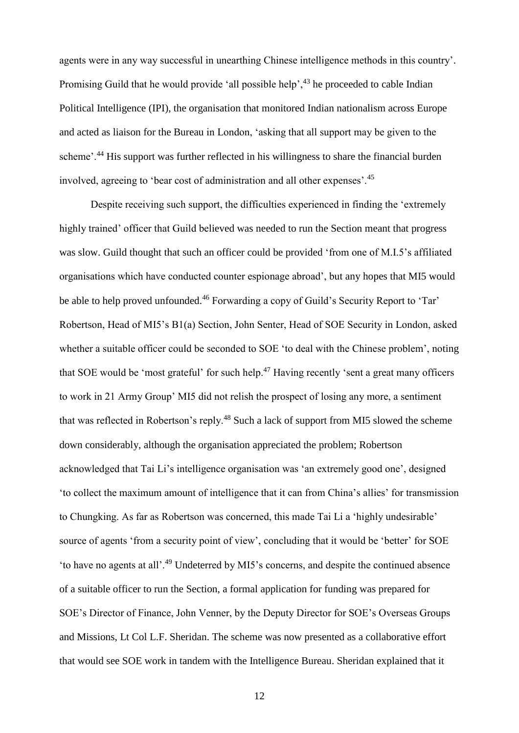agents were in any way successful in unearthing Chinese intelligence methods in this country'. Promising Guild that he would provide 'all possible help',  $43$  he proceeded to cable Indian Political Intelligence (IPI), the organisation that monitored Indian nationalism across Europe and acted as liaison for the Bureau in London, 'asking that all support may be given to the scheme'.<sup>44</sup> His support was further reflected in his willingness to share the financial burden involved, agreeing to 'bear cost of administration and all other expenses'.<sup>45</sup>

Despite receiving such support, the difficulties experienced in finding the 'extremely highly trained' officer that Guild believed was needed to run the Section meant that progress was slow. Guild thought that such an officer could be provided 'from one of M.I.5's affiliated organisations which have conducted counter espionage abroad', but any hopes that MI5 would be able to help proved unfounded.<sup>46</sup> Forwarding a copy of Guild's Security Report to 'Tar' Robertson, Head of MI5's B1(a) Section, John Senter, Head of SOE Security in London, asked whether a suitable officer could be seconded to SOE 'to deal with the Chinese problem', noting that SOE would be 'most grateful' for such help.<sup>47</sup> Having recently 'sent a great many officers to work in 21 Army Group' MI5 did not relish the prospect of losing any more, a sentiment that was reflected in Robertson's reply.<sup>48</sup> Such a lack of support from MI5 slowed the scheme down considerably, although the organisation appreciated the problem; Robertson acknowledged that Tai Li's intelligence organisation was 'an extremely good one', designed 'to collect the maximum amount of intelligence that it can from China's allies' for transmission to Chungking. As far as Robertson was concerned, this made Tai Li a 'highly undesirable' source of agents 'from a security point of view', concluding that it would be 'better' for SOE 'to have no agents at all'.<sup>49</sup> Undeterred by MI5's concerns, and despite the continued absence of a suitable officer to run the Section, a formal application for funding was prepared for SOE's Director of Finance, John Venner, by the Deputy Director for SOE's Overseas Groups and Missions, Lt Col L.F. Sheridan. The scheme was now presented as a collaborative effort that would see SOE work in tandem with the Intelligence Bureau. Sheridan explained that it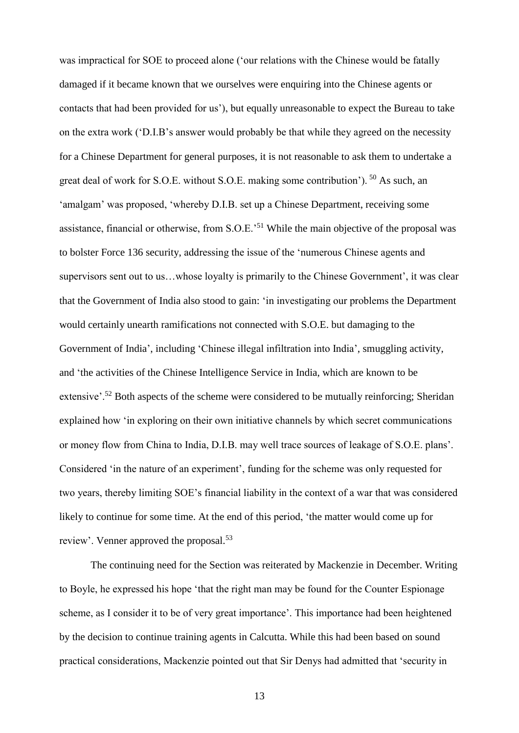was impractical for SOE to proceed alone ('our relations with the Chinese would be fatally damaged if it became known that we ourselves were enquiring into the Chinese agents or contacts that had been provided for us'), but equally unreasonable to expect the Bureau to take on the extra work ('D.I.B's answer would probably be that while they agreed on the necessity for a Chinese Department for general purposes, it is not reasonable to ask them to undertake a great deal of work for S.O.E. without S.O.E. making some contribution'). <sup>50</sup> As such, an 'amalgam' was proposed, 'whereby D.I.B. set up a Chinese Department, receiving some assistance, financial or otherwise, from S.O.E.'<sup>51</sup> While the main objective of the proposal was to bolster Force 136 security, addressing the issue of the 'numerous Chinese agents and supervisors sent out to us…whose loyalty is primarily to the Chinese Government', it was clear that the Government of India also stood to gain: 'in investigating our problems the Department would certainly unearth ramifications not connected with S.O.E. but damaging to the Government of India', including 'Chinese illegal infiltration into India', smuggling activity, and 'the activities of the Chinese Intelligence Service in India, which are known to be extensive'.<sup>52</sup> Both aspects of the scheme were considered to be mutually reinforcing; Sheridan explained how 'in exploring on their own initiative channels by which secret communications or money flow from China to India, D.I.B. may well trace sources of leakage of S.O.E. plans'. Considered 'in the nature of an experiment', funding for the scheme was only requested for two years, thereby limiting SOE's financial liability in the context of a war that was considered likely to continue for some time. At the end of this period, 'the matter would come up for review'. Venner approved the proposal.<sup>53</sup>

The continuing need for the Section was reiterated by Mackenzie in December. Writing to Boyle, he expressed his hope 'that the right man may be found for the Counter Espionage scheme, as I consider it to be of very great importance'. This importance had been heightened by the decision to continue training agents in Calcutta. While this had been based on sound practical considerations, Mackenzie pointed out that Sir Denys had admitted that 'security in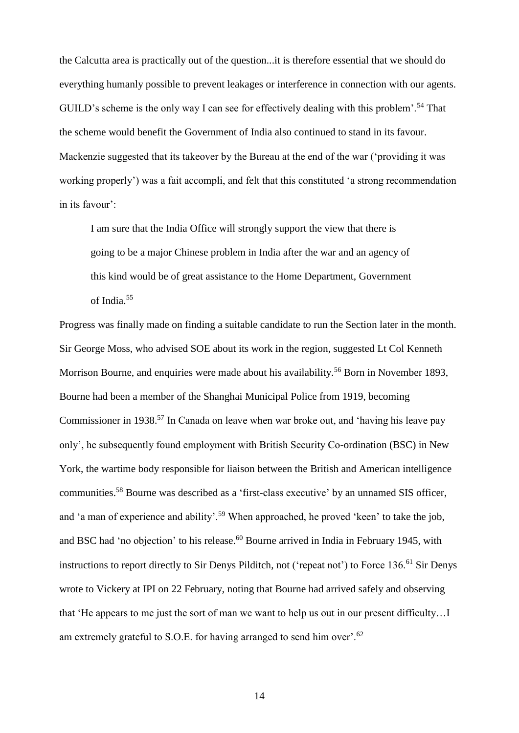the Calcutta area is practically out of the question...it is therefore essential that we should do everything humanly possible to prevent leakages or interference in connection with our agents. GUILD's scheme is the only way I can see for effectively dealing with this problem'.<sup>54</sup> That the scheme would benefit the Government of India also continued to stand in its favour. Mackenzie suggested that its takeover by the Bureau at the end of the war ('providing it was working properly') was a fait accompli, and felt that this constituted 'a strong recommendation in its favour':

I am sure that the India Office will strongly support the view that there is going to be a major Chinese problem in India after the war and an agency of this kind would be of great assistance to the Home Department, Government of India.<sup>55</sup>

Progress was finally made on finding a suitable candidate to run the Section later in the month. Sir George Moss, who advised SOE about its work in the region, suggested Lt Col Kenneth Morrison Bourne, and enquiries were made about his availability.<sup>56</sup> Born in November 1893, Bourne had been a member of the Shanghai Municipal Police from 1919, becoming Commissioner in 1938.<sup>57</sup> In Canada on leave when war broke out, and 'having his leave pay only', he subsequently found employment with British Security Co-ordination (BSC) in New York, the wartime body responsible for liaison between the British and American intelligence communities.<sup>58</sup> Bourne was described as a 'first-class executive' by an unnamed SIS officer, and 'a man of experience and ability'.<sup>59</sup> When approached, he proved 'keen' to take the job, and BSC had 'no objection' to his release. <sup>60</sup> Bourne arrived in India in February 1945, with instructions to report directly to Sir Denys Pilditch, not ('repeat not') to Force 136.<sup>61</sup> Sir Denys wrote to Vickery at IPI on 22 February, noting that Bourne had arrived safely and observing that 'He appears to me just the sort of man we want to help us out in our present difficulty…I am extremely grateful to S.O.E. for having arranged to send him over'.<sup>62</sup>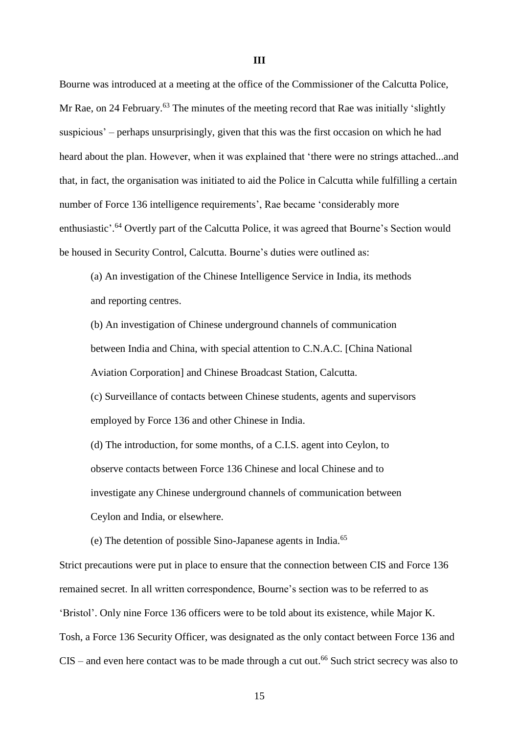Bourne was introduced at a meeting at the office of the Commissioner of the Calcutta Police, Mr Rae, on 24 February.<sup>63</sup> The minutes of the meeting record that Rae was initially 'slightly suspicious' – perhaps unsurprisingly, given that this was the first occasion on which he had heard about the plan. However, when it was explained that 'there were no strings attached...and that, in fact, the organisation was initiated to aid the Police in Calcutta while fulfilling a certain number of Force 136 intelligence requirements', Rae became 'considerably more enthusiastic'.<sup>64</sup> Overtly part of the Calcutta Police, it was agreed that Bourne's Section would be housed in Security Control, Calcutta. Bourne's duties were outlined as:

(a) An investigation of the Chinese Intelligence Service in India, its methods and reporting centres.

(b) An investigation of Chinese underground channels of communication between India and China, with special attention to C.N.A.C. [China National Aviation Corporation] and Chinese Broadcast Station, Calcutta.

(c) Surveillance of contacts between Chinese students, agents and supervisors employed by Force 136 and other Chinese in India.

(d) The introduction, for some months, of a C.I.S. agent into Ceylon, to observe contacts between Force 136 Chinese and local Chinese and to investigate any Chinese underground channels of communication between Ceylon and India, or elsewhere.

(e) The detention of possible Sino-Japanese agents in India.<sup>65</sup>

Strict precautions were put in place to ensure that the connection between CIS and Force 136 remained secret. In all written correspondence, Bourne's section was to be referred to as 'Bristol'. Only nine Force 136 officers were to be told about its existence, while Major K. Tosh, a Force 136 Security Officer, was designated as the only contact between Force 136 and  $CIS$  – and even here contact was to be made through a cut out.<sup>66</sup> Such strict secrecy was also to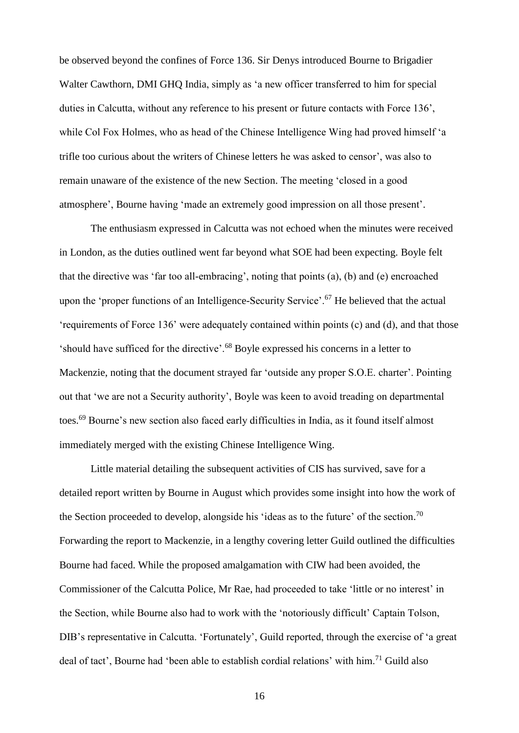be observed beyond the confines of Force 136. Sir Denys introduced Bourne to Brigadier Walter Cawthorn, DMI GHQ India, simply as 'a new officer transferred to him for special duties in Calcutta, without any reference to his present or future contacts with Force 136', while Col Fox Holmes, who as head of the Chinese Intelligence Wing had proved himself 'a trifle too curious about the writers of Chinese letters he was asked to censor', was also to remain unaware of the existence of the new Section. The meeting 'closed in a good atmosphere', Bourne having 'made an extremely good impression on all those present'.

The enthusiasm expressed in Calcutta was not echoed when the minutes were received in London, as the duties outlined went far beyond what SOE had been expecting. Boyle felt that the directive was 'far too all-embracing', noting that points (a), (b) and (e) encroached upon the 'proper functions of an Intelligence-Security Service'.<sup>67</sup> He believed that the actual 'requirements of Force 136' were adequately contained within points (c) and (d), and that those 'should have sufficed for the directive'.<sup>68</sup> Boyle expressed his concerns in a letter to Mackenzie, noting that the document strayed far 'outside any proper S.O.E. charter'. Pointing out that 'we are not a Security authority', Boyle was keen to avoid treading on departmental toes. <sup>69</sup> Bourne's new section also faced early difficulties in India, as it found itself almost immediately merged with the existing Chinese Intelligence Wing.

Little material detailing the subsequent activities of CIS has survived, save for a detailed report written by Bourne in August which provides some insight into how the work of the Section proceeded to develop, alongside his 'ideas as to the future' of the section.<sup>70</sup> Forwarding the report to Mackenzie, in a lengthy covering letter Guild outlined the difficulties Bourne had faced. While the proposed amalgamation with CIW had been avoided, the Commissioner of the Calcutta Police, Mr Rae, had proceeded to take 'little or no interest' in the Section, while Bourne also had to work with the 'notoriously difficult' Captain Tolson, DIB's representative in Calcutta. 'Fortunately', Guild reported, through the exercise of 'a great deal of tact', Bourne had 'been able to establish cordial relations' with him.<sup>71</sup> Guild also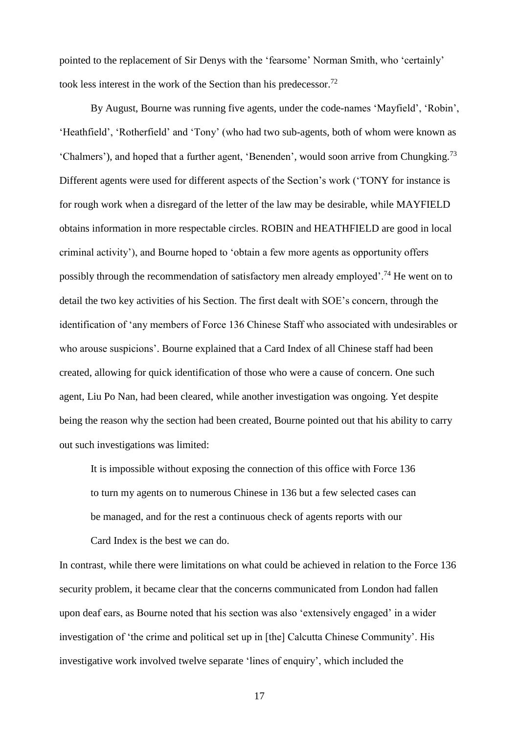pointed to the replacement of Sir Denys with the 'fearsome' Norman Smith, who 'certainly' took less interest in the work of the Section than his predecessor.<sup>72</sup>

By August, Bourne was running five agents, under the code-names 'Mayfield', 'Robin', 'Heathfield', 'Rotherfield' and 'Tony' (who had two sub-agents, both of whom were known as 'Chalmers'), and hoped that a further agent, 'Benenden', would soon arrive from Chungking.<sup>73</sup> Different agents were used for different aspects of the Section's work ('TONY for instance is for rough work when a disregard of the letter of the law may be desirable, while MAYFIELD obtains information in more respectable circles. ROBIN and HEATHFIELD are good in local criminal activity'), and Bourne hoped to 'obtain a few more agents as opportunity offers possibly through the recommendation of satisfactory men already employed'.<sup>74</sup> He went on to detail the two key activities of his Section. The first dealt with SOE's concern, through the identification of 'any members of Force 136 Chinese Staff who associated with undesirables or who arouse suspicions'. Bourne explained that a Card Index of all Chinese staff had been created, allowing for quick identification of those who were a cause of concern. One such agent, Liu Po Nan, had been cleared, while another investigation was ongoing. Yet despite being the reason why the section had been created, Bourne pointed out that his ability to carry out such investigations was limited:

It is impossible without exposing the connection of this office with Force 136 to turn my agents on to numerous Chinese in 136 but a few selected cases can be managed, and for the rest a continuous check of agents reports with our Card Index is the best we can do.

In contrast, while there were limitations on what could be achieved in relation to the Force 136 security problem, it became clear that the concerns communicated from London had fallen upon deaf ears, as Bourne noted that his section was also 'extensively engaged' in a wider investigation of 'the crime and political set up in [the] Calcutta Chinese Community'. His investigative work involved twelve separate 'lines of enquiry', which included the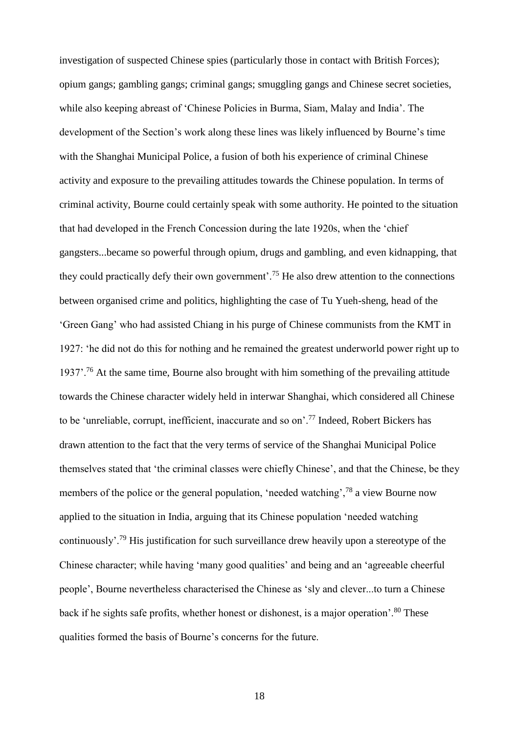investigation of suspected Chinese spies (particularly those in contact with British Forces); opium gangs; gambling gangs; criminal gangs; smuggling gangs and Chinese secret societies, while also keeping abreast of 'Chinese Policies in Burma, Siam, Malay and India'. The development of the Section's work along these lines was likely influenced by Bourne's time with the Shanghai Municipal Police, a fusion of both his experience of criminal Chinese activity and exposure to the prevailing attitudes towards the Chinese population. In terms of criminal activity, Bourne could certainly speak with some authority. He pointed to the situation that had developed in the French Concession during the late 1920s, when the 'chief gangsters...became so powerful through opium, drugs and gambling, and even kidnapping, that they could practically defy their own government'.<sup>75</sup> He also drew attention to the connections between organised crime and politics, highlighting the case of Tu Yueh-sheng, head of the 'Green Gang' who had assisted Chiang in his purge of Chinese communists from the KMT in 1927: 'he did not do this for nothing and he remained the greatest underworld power right up to 1937'.<sup>76</sup> At the same time, Bourne also brought with him something of the prevailing attitude towards the Chinese character widely held in interwar Shanghai, which considered all Chinese to be 'unreliable, corrupt, inefficient, inaccurate and so on'.<sup>77</sup> Indeed, Robert Bickers has drawn attention to the fact that the very terms of service of the Shanghai Municipal Police themselves stated that 'the criminal classes were chiefly Chinese', and that the Chinese, be they members of the police or the general population, 'needed watching',<sup>78</sup> a view Bourne now applied to the situation in India, arguing that its Chinese population 'needed watching continuously'.<sup>79</sup> His justification for such surveillance drew heavily upon a stereotype of the Chinese character; while having 'many good qualities' and being and an 'agreeable cheerful people', Bourne nevertheless characterised the Chinese as 'sly and clever...to turn a Chinese back if he sights safe profits, whether honest or dishonest, is a major operation'.<sup>80</sup> These qualities formed the basis of Bourne's concerns for the future.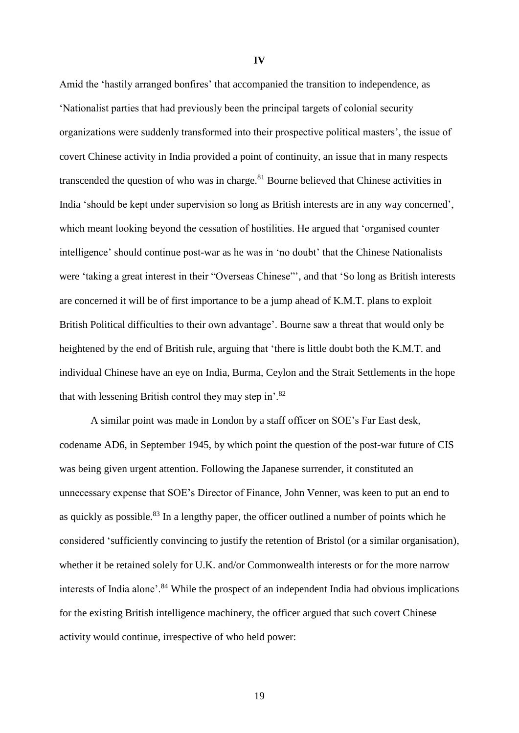Amid the 'hastily arranged bonfires' that accompanied the transition to independence, as 'Nationalist parties that had previously been the principal targets of colonial security organizations were suddenly transformed into their prospective political masters', the issue of covert Chinese activity in India provided a point of continuity, an issue that in many respects transcended the question of who was in charge.<sup>81</sup> Bourne believed that Chinese activities in India 'should be kept under supervision so long as British interests are in any way concerned', which meant looking beyond the cessation of hostilities. He argued that 'organised counter intelligence' should continue post-war as he was in 'no doubt' that the Chinese Nationalists were 'taking a great interest in their "Overseas Chinese"', and that 'So long as British interests are concerned it will be of first importance to be a jump ahead of K.M.T. plans to exploit British Political difficulties to their own advantage'. Bourne saw a threat that would only be heightened by the end of British rule, arguing that 'there is little doubt both the K.M.T. and individual Chinese have an eye on India, Burma, Ceylon and the Strait Settlements in the hope that with lessening British control they may step in'.<sup>82</sup>

A similar point was made in London by a staff officer on SOE's Far East desk, codename AD6, in September 1945, by which point the question of the post-war future of CIS was being given urgent attention. Following the Japanese surrender, it constituted an unnecessary expense that SOE's Director of Finance, John Venner, was keen to put an end to as quickly as possible.<sup>83</sup> In a lengthy paper, the officer outlined a number of points which he considered 'sufficiently convincing to justify the retention of Bristol (or a similar organisation), whether it be retained solely for U.K. and/or Commonwealth interests or for the more narrow interests of India alone'.<sup>84</sup> While the prospect of an independent India had obvious implications for the existing British intelligence machinery, the officer argued that such covert Chinese activity would continue, irrespective of who held power:

**IV**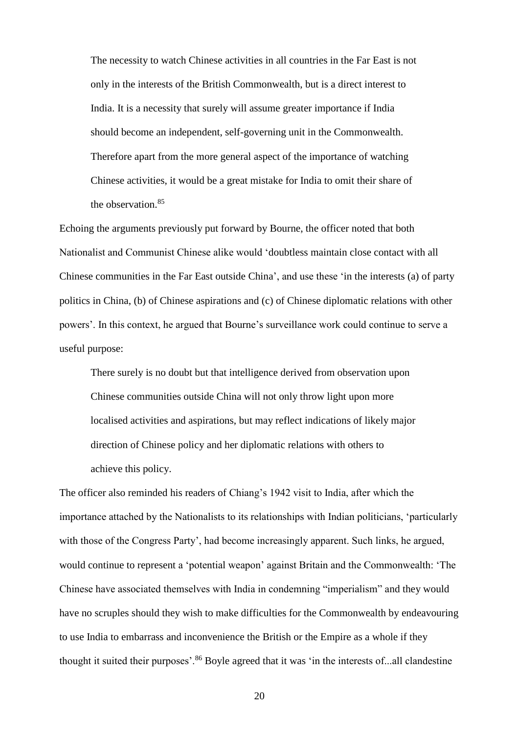The necessity to watch Chinese activities in all countries in the Far East is not only in the interests of the British Commonwealth, but is a direct interest to India. It is a necessity that surely will assume greater importance if India should become an independent, self-governing unit in the Commonwealth. Therefore apart from the more general aspect of the importance of watching Chinese activities, it would be a great mistake for India to omit their share of the observation.<sup>85</sup>

Echoing the arguments previously put forward by Bourne, the officer noted that both Nationalist and Communist Chinese alike would 'doubtless maintain close contact with all Chinese communities in the Far East outside China', and use these 'in the interests (a) of party politics in China, (b) of Chinese aspirations and (c) of Chinese diplomatic relations with other powers'. In this context, he argued that Bourne's surveillance work could continue to serve a useful purpose:

There surely is no doubt but that intelligence derived from observation upon Chinese communities outside China will not only throw light upon more localised activities and aspirations, but may reflect indications of likely major direction of Chinese policy and her diplomatic relations with others to achieve this policy.

The officer also reminded his readers of Chiang's 1942 visit to India, after which the importance attached by the Nationalists to its relationships with Indian politicians, 'particularly with those of the Congress Party', had become increasingly apparent. Such links, he argued, would continue to represent a 'potential weapon' against Britain and the Commonwealth: 'The Chinese have associated themselves with India in condemning "imperialism" and they would have no scruples should they wish to make difficulties for the Commonwealth by endeavouring to use India to embarrass and inconvenience the British or the Empire as a whole if they thought it suited their purposes'.<sup>86</sup> Boyle agreed that it was 'in the interests of...all clandestine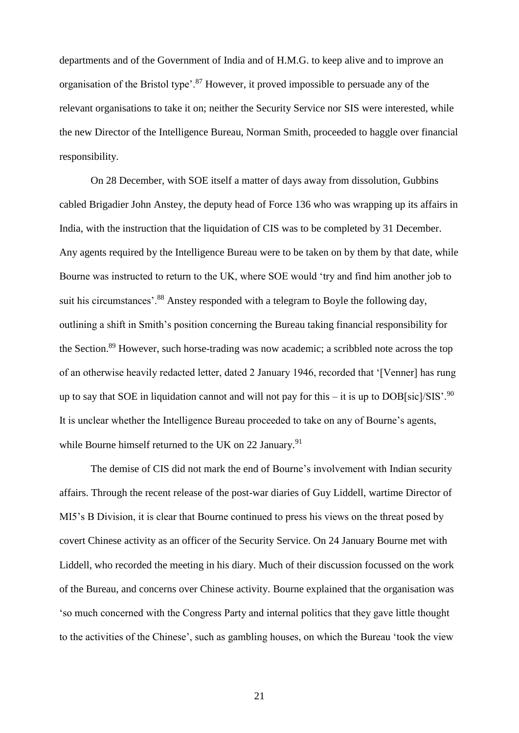departments and of the Government of India and of H.M.G. to keep alive and to improve an organisation of the Bristol type'.<sup>87</sup> However, it proved impossible to persuade any of the relevant organisations to take it on; neither the Security Service nor SIS were interested, while the new Director of the Intelligence Bureau, Norman Smith, proceeded to haggle over financial responsibility.

On 28 December, with SOE itself a matter of days away from dissolution, Gubbins cabled Brigadier John Anstey, the deputy head of Force 136 who was wrapping up its affairs in India, with the instruction that the liquidation of CIS was to be completed by 31 December. Any agents required by the Intelligence Bureau were to be taken on by them by that date, while Bourne was instructed to return to the UK, where SOE would 'try and find him another job to suit his circumstances'.<sup>88</sup> Anstey responded with a telegram to Boyle the following day, outlining a shift in Smith's position concerning the Bureau taking financial responsibility for the Section.<sup>89</sup> However, such horse-trading was now academic; a scribbled note across the top of an otherwise heavily redacted letter, dated 2 January 1946, recorded that '[Venner] has rung up to say that SOE in liquidation cannot and will not pay for this – it is up to  $DOB[sic]/SIS^2$ .<sup>90</sup> It is unclear whether the Intelligence Bureau proceeded to take on any of Bourne's agents, while Bourne himself returned to the UK on 22 January.<sup>91</sup>

The demise of CIS did not mark the end of Bourne's involvement with Indian security affairs. Through the recent release of the post-war diaries of Guy Liddell, wartime Director of MI5's B Division, it is clear that Bourne continued to press his views on the threat posed by covert Chinese activity as an officer of the Security Service. On 24 January Bourne met with Liddell, who recorded the meeting in his diary. Much of their discussion focussed on the work of the Bureau, and concerns over Chinese activity. Bourne explained that the organisation was 'so much concerned with the Congress Party and internal politics that they gave little thought to the activities of the Chinese', such as gambling houses, on which the Bureau 'took the view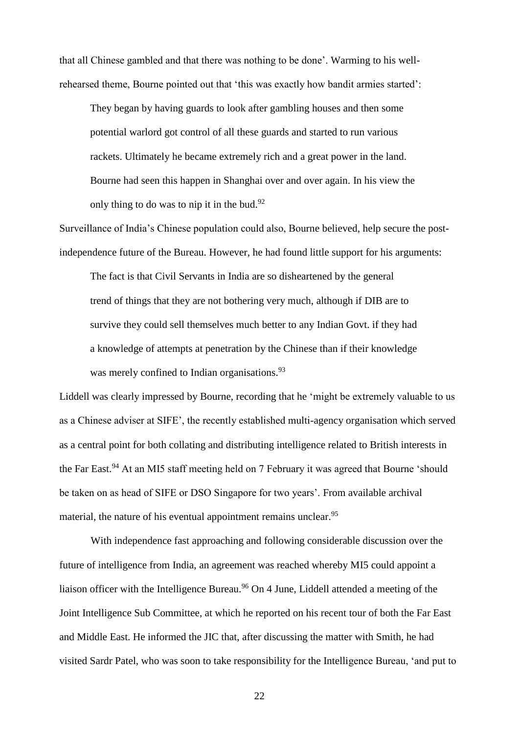that all Chinese gambled and that there was nothing to be done'. Warming to his wellrehearsed theme, Bourne pointed out that 'this was exactly how bandit armies started':

They began by having guards to look after gambling houses and then some potential warlord got control of all these guards and started to run various rackets. Ultimately he became extremely rich and a great power in the land. Bourne had seen this happen in Shanghai over and over again. In his view the only thing to do was to nip it in the bud.<sup>92</sup>

Surveillance of India's Chinese population could also, Bourne believed, help secure the postindependence future of the Bureau. However, he had found little support for his arguments:

The fact is that Civil Servants in India are so disheartened by the general trend of things that they are not bothering very much, although if DIB are to survive they could sell themselves much better to any Indian Govt. if they had a knowledge of attempts at penetration by the Chinese than if their knowledge was merely confined to Indian organisations.<sup>93</sup>

Liddell was clearly impressed by Bourne, recording that he 'might be extremely valuable to us as a Chinese adviser at SIFE', the recently established multi-agency organisation which served as a central point for both collating and distributing intelligence related to British interests in the Far East.<sup>94</sup> At an MI5 staff meeting held on 7 February it was agreed that Bourne 'should be taken on as head of SIFE or DSO Singapore for two years'. From available archival material, the nature of his eventual appointment remains unclear.<sup>95</sup>

With independence fast approaching and following considerable discussion over the future of intelligence from India, an agreement was reached whereby MI5 could appoint a liaison officer with the Intelligence Bureau.<sup>96</sup> On 4 June, Liddell attended a meeting of the Joint Intelligence Sub Committee, at which he reported on his recent tour of both the Far East and Middle East. He informed the JIC that, after discussing the matter with Smith, he had visited Sardr Patel, who was soon to take responsibility for the Intelligence Bureau, 'and put to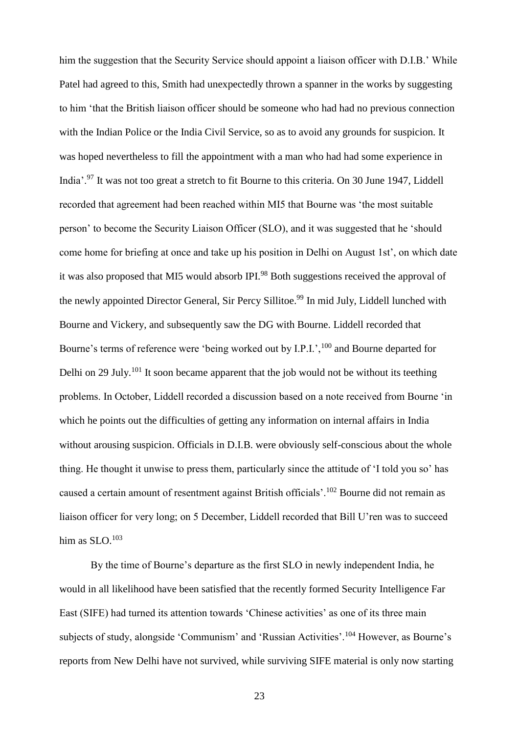him the suggestion that the Security Service should appoint a liaison officer with D.I.B.' While Patel had agreed to this, Smith had unexpectedly thrown a spanner in the works by suggesting to him 'that the British liaison officer should be someone who had had no previous connection with the Indian Police or the India Civil Service, so as to avoid any grounds for suspicion. It was hoped nevertheless to fill the appointment with a man who had had some experience in India'.<sup>97</sup> It was not too great a stretch to fit Bourne to this criteria. On 30 June 1947, Liddell recorded that agreement had been reached within MI5 that Bourne was 'the most suitable person' to become the Security Liaison Officer (SLO), and it was suggested that he 'should come home for briefing at once and take up his position in Delhi on August 1st', on which date it was also proposed that MI5 would absorb IPI.<sup>98</sup> Both suggestions received the approval of the newly appointed Director General, Sir Percy Sillitoe.<sup>99</sup> In mid July, Liddell lunched with Bourne and Vickery, and subsequently saw the DG with Bourne. Liddell recorded that Bourne's terms of reference were 'being worked out by I.P.I.', <sup>100</sup> and Bourne departed for Delhi on 29 July.<sup>101</sup> It soon became apparent that the job would not be without its teething problems. In October, Liddell recorded a discussion based on a note received from Bourne 'in which he points out the difficulties of getting any information on internal affairs in India without arousing suspicion. Officials in D.I.B. were obviously self-conscious about the whole thing. He thought it unwise to press them, particularly since the attitude of 'I told you so' has caused a certain amount of resentment against British officials'.<sup>102</sup> Bourne did not remain as liaison officer for very long; on 5 December, Liddell recorded that Bill U'ren was to succeed him as  $SLO.103$ 

By the time of Bourne's departure as the first SLO in newly independent India, he would in all likelihood have been satisfied that the recently formed Security Intelligence Far East (SIFE) had turned its attention towards 'Chinese activities' as one of its three main subjects of study, alongside 'Communism' and 'Russian Activities'.<sup>104</sup> However, as Bourne's reports from New Delhi have not survived, while surviving SIFE material is only now starting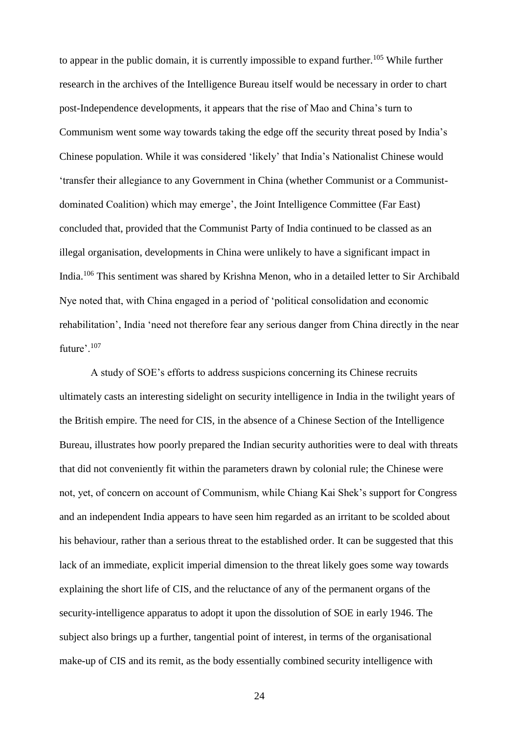to appear in the public domain, it is currently impossible to expand further.<sup>105</sup> While further research in the archives of the Intelligence Bureau itself would be necessary in order to chart post-Independence developments, it appears that the rise of Mao and China's turn to Communism went some way towards taking the edge off the security threat posed by India's Chinese population. While it was considered 'likely' that India's Nationalist Chinese would 'transfer their allegiance to any Government in China (whether Communist or a Communistdominated Coalition) which may emerge', the Joint Intelligence Committee (Far East) concluded that, provided that the Communist Party of India continued to be classed as an illegal organisation, developments in China were unlikely to have a significant impact in India.<sup>106</sup> This sentiment was shared by Krishna Menon, who in a detailed letter to Sir Archibald Nye noted that, with China engaged in a period of 'political consolidation and economic rehabilitation', India 'need not therefore fear any serious danger from China directly in the near future'.<sup>107</sup>

A study of SOE's efforts to address suspicions concerning its Chinese recruits ultimately casts an interesting sidelight on security intelligence in India in the twilight years of the British empire. The need for CIS, in the absence of a Chinese Section of the Intelligence Bureau, illustrates how poorly prepared the Indian security authorities were to deal with threats that did not conveniently fit within the parameters drawn by colonial rule; the Chinese were not, yet, of concern on account of Communism, while Chiang Kai Shek's support for Congress and an independent India appears to have seen him regarded as an irritant to be scolded about his behaviour, rather than a serious threat to the established order. It can be suggested that this lack of an immediate, explicit imperial dimension to the threat likely goes some way towards explaining the short life of CIS, and the reluctance of any of the permanent organs of the security-intelligence apparatus to adopt it upon the dissolution of SOE in early 1946. The subject also brings up a further, tangential point of interest, in terms of the organisational make-up of CIS and its remit, as the body essentially combined security intelligence with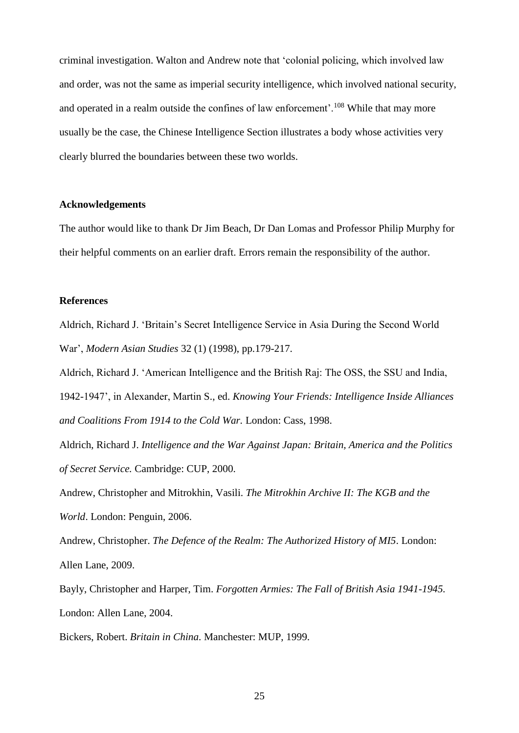criminal investigation. Walton and Andrew note that 'colonial policing, which involved law and order, was not the same as imperial security intelligence, which involved national security, and operated in a realm outside the confines of law enforcement'.<sup>108</sup> While that may more usually be the case, the Chinese Intelligence Section illustrates a body whose activities very clearly blurred the boundaries between these two worlds.

#### **Acknowledgements**

The author would like to thank Dr Jim Beach, Dr Dan Lomas and Professor Philip Murphy for their helpful comments on an earlier draft. Errors remain the responsibility of the author.

#### **References**

Aldrich, Richard J. 'Britain's Secret Intelligence Service in Asia During the Second World War', *Modern Asian Studies* 32 (1) (1998), pp.179-217.

Aldrich, Richard J. 'American Intelligence and the British Raj: The OSS, the SSU and India, 1942-1947', in Alexander, Martin S., ed. *Knowing Your Friends: Intelligence Inside Alliances and Coalitions From 1914 to the Cold War.* London: Cass, 1998.

Aldrich, Richard J. *Intelligence and the War Against Japan: Britain, America and the Politics of Secret Service.* Cambridge: CUP, 2000.

Andrew, Christopher and Mitrokhin, Vasili. *The Mitrokhin Archive II: The KGB and the World*. London: Penguin, 2006.

Andrew, Christopher. *The Defence of the Realm: The Authorized History of MI5*. London: Allen Lane, 2009.

Bayly, Christopher and Harper, Tim. *Forgotten Armies: The Fall of British Asia 1941-1945.* London: Allen Lane, 2004.

Bickers, Robert. *Britain in China.* Manchester: MUP, 1999.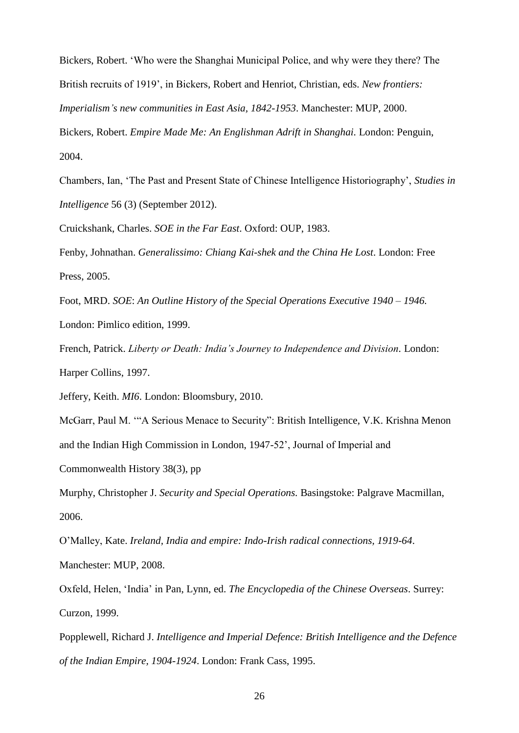Bickers, Robert. 'Who were the Shanghai Municipal Police, and why were they there? The British recruits of 1919', in Bickers, Robert and Henriot, Christian, eds. *New frontiers:* 

*Imperialism's new communities in East Asia, 1842-1953*. Manchester: MUP, 2000.

Bickers, Robert. *Empire Made Me: An Englishman Adrift in Shanghai.* London: Penguin, 2004.

Chambers, Ian, 'The Past and Present State of Chinese Intelligence Historiography', *Studies in Intelligence* 56 (3) (September 2012).

Cruickshank, Charles. *SOE in the Far East*. Oxford: OUP, 1983.

Fenby, Johnathan. *Generalissimo: Chiang Kai-shek and the China He Lost*. London: Free Press, 2005.

Foot, MRD. *SOE*: *An Outline History of the Special Operations Executive 1940 – 1946.* London: Pimlico edition, 1999.

French, Patrick. *Liberty or Death: India's Journey to Independence and Division.* London: Harper Collins, 1997.

Jeffery, Keith. *MI6*. London: Bloomsbury, 2010.

McGarr, Paul M. '"A Serious Menace to Security": British Intelligence, V.K. Krishna Menon and the Indian High Commission in London, 1947-52', Journal of Imperial and

Commonwealth History 38(3), pp

Murphy, Christopher J. *Security and Special Operations.* Basingstoke: Palgrave Macmillan, 2006.

O'Malley, Kate. *Ireland, India and empire: Indo-Irish radical connections, 1919-64*. Manchester: MUP, 2008.

Oxfeld, Helen, 'India' in Pan, Lynn, ed. *The Encyclopedia of the Chinese Overseas*. Surrey: Curzon, 1999.

Popplewell, Richard J. *Intelligence and Imperial Defence: British Intelligence and the Defence of the Indian Empire, 1904-1924*. London: Frank Cass, 1995.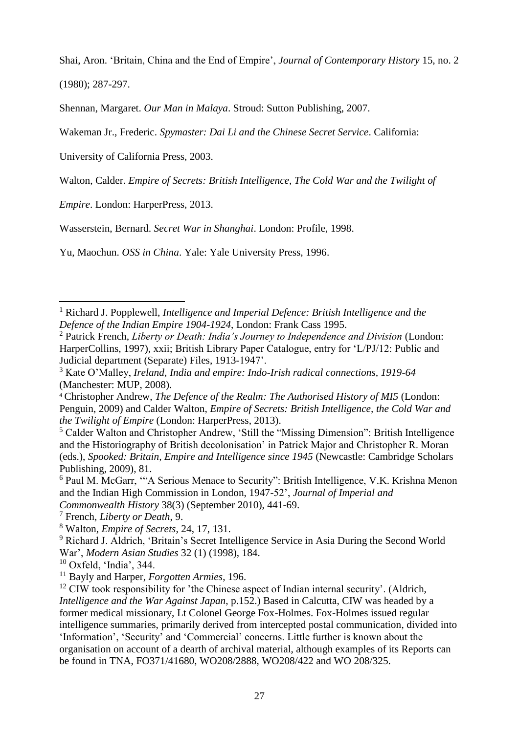Shai, Aron. 'Britain, China and the End of Empire', *Journal of Contemporary History* 15, no. 2

(1980); 287-297.

 $\overline{a}$ 

Shennan, Margaret. *Our Man in Malaya*. Stroud: Sutton Publishing, 2007.

Wakeman Jr., Frederic. *Spymaster: Dai Li and the Chinese Secret Service*. California:

University of California Press, 2003.

Walton, Calder. *Empire of Secrets: British Intelligence, The Cold War and the Twilight of* 

*Empire*. London: HarperPress, 2013.

Wasserstein, Bernard. *Secret War in Shanghai*. London: Profile, 1998.

Yu, Maochun. *OSS in China*. Yale: Yale University Press, 1996.

<sup>7</sup> French, *Liberty or Death*, 9.

 $10$  Oxfeld, 'India', 344.

<sup>1</sup> Richard J. Popplewell, *Intelligence and Imperial Defence: British Intelligence and the Defence of the Indian Empire 1904-1924*, London: Frank Cass 1995.

<sup>2</sup> Patrick French, *Liberty or Death: India's Journey to Independence and Division* (London: HarperCollins, 1997), xxii; British Library Paper Catalogue, entry for 'L/PJ/12: Public and Judicial department (Separate) Files, 1913-1947'.

<sup>3</sup> Kate O'Malley, *Ireland, India and empire: Indo-Irish radical connections, 1919-64* (Manchester: MUP, 2008).

<sup>4</sup> Christopher Andrew, *The Defence of the Realm: The Authorised History of MI5* (London: Penguin, 2009) and Calder Walton, *Empire of Secrets: British Intelligence, the Cold War and the Twilight of Empire* (London: HarperPress, 2013).

<sup>5</sup> Calder Walton and Christopher Andrew, 'Still the "Missing Dimension": British Intelligence and the Historiography of British decolonisation' in Patrick Major and Christopher R. Moran (eds.), *Spooked: Britain, Empire and Intelligence since 1945* (Newcastle: Cambridge Scholars Publishing, 2009), 81.

<sup>6</sup> Paul M. McGarr, '"A Serious Menace to Security": British Intelligence, V.K. Krishna Menon and the Indian High Commission in London, 1947-52', *Journal of Imperial and Commonwealth History* 38(3) (September 2010), 441-69.

<sup>8</sup> Walton, *Empire of Secrets*, 24, 17, 131.

<sup>&</sup>lt;sup>9</sup> Richard J. Aldrich, 'Britain's Secret Intelligence Service in Asia During the Second World War', *Modern Asian Studies* 32 (1) (1998), 184.

<sup>11</sup> Bayly and Harper, *Forgotten Armies*, 196.

 $12$  CIW took responsibility for 'the Chinese aspect of Indian internal security'. (Aldrich, *Intelligence and the War Against Japan*, p.152.) Based in Calcutta, CIW was headed by a former medical missionary, Lt Colonel George Fox-Holmes. Fox-Holmes issued regular intelligence summaries, primarily derived from intercepted postal communication, divided into 'Information', 'Security' and 'Commercial' concerns. Little further is known about the organisation on account of a dearth of archival material, although examples of its Reports can be found in TNA, FO371/41680, WO208/2888, WO208/422 and WO 208/325.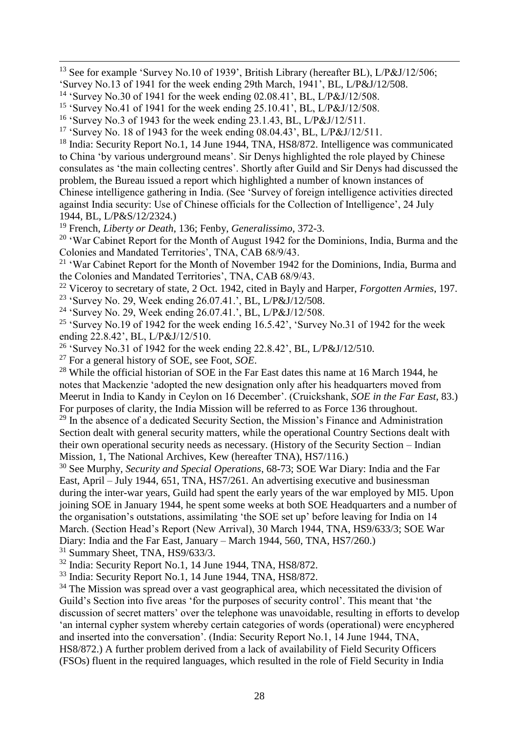<sup>13</sup> See for example 'Survey No.10 of 1939', British Library (hereafter BL), L/P&J/12/506; 'Survey No.13 of 1941 for the week ending 29th March, 1941', BL, L/P&J/12/508.

<sup>18</sup> India: Security Report No.1, 14 June 1944, TNA, HS8/872. Intelligence was communicated to China 'by various underground means'. Sir Denys highlighted the role played by Chinese consulates as 'the main collecting centres'. Shortly after Guild and Sir Denys had discussed the problem, the Bureau issued a report which highlighted a number of known instances of Chinese intelligence gathering in India. (See 'Survey of foreign intelligence activities directed against India security: Use of Chinese officials for the Collection of Intelligence', 24 July 1944, BL, L/P&S/12/2324.)

<sup>19</sup> French, *Liberty or Death*, 136; Fenby, *Generalissimo*, 372-3.

 $20$  'War Cabinet Report for the Month of August 1942 for the Dominions, India, Burma and the Colonies and Mandated Territories', TNA, CAB 68/9/43.

<sup>21</sup> 'War Cabinet Report for the Month of November 1942 for the Dominions, India, Burma and the Colonies and Mandated Territories', TNA, CAB 68/9/43.

<sup>22</sup> Viceroy to secretary of state, 2 Oct. 1942, cited in Bayly and Harper, *Forgotten Armies*, 197.

<sup>23</sup> 'Survey No. 29, Week ending 26.07.41.', BL, L/P&J/12/508.

<sup>24</sup> 'Survey No. 29, Week ending 26.07.41.', BL, L/P&J/12/508.

<sup>25</sup> 'Survey No.19 of 1942 for the week ending  $16.5.42$ ', 'Survey No.31 of 1942 for the week ending 22.8.42', BL, L/P&J/12/510.

<sup>26</sup> 'Survey No.31 of 1942 for the week ending  $22.8.42$ ', BL, L/P&J/12/510.

<sup>27</sup> For a general history of SOE, see Foot, *SOE*.

 $\overline{a}$ 

<sup>28</sup> While the official historian of SOE in the Far East dates this name at 16 March 1944, he notes that Mackenzie 'adopted the new designation only after his headquarters moved from Meerut in India to Kandy in Ceylon on 16 December'. (Cruickshank, *SOE in the Far East*, 83.) For purposes of clarity, the India Mission will be referred to as Force 136 throughout.

 $29$  In the absence of a dedicated Security Section, the Mission's Finance and Administration Section dealt with general security matters, while the operational Country Sections dealt with their own operational security needs as necessary. (History of the Security Section – Indian Mission, 1, The National Archives, Kew (hereafter TNA), HS7/116.)

<sup>30</sup> See Murphy, *Security and Special Operations*, 68-73; SOE War Diary: India and the Far East, April – July 1944, 651, TNA, HS7/261. An advertising executive and businessman during the inter-war years, Guild had spent the early years of the war employed by MI5. Upon joining SOE in January 1944, he spent some weeks at both SOE Headquarters and a number of the organisation's outstations, assimilating 'the SOE set up' before leaving for India on 14 March. (Section Head's Report (New Arrival), 30 March 1944, TNA, HS9/633/3; SOE War Diary: India and the Far East, January – March 1944, 560, TNA, HS7/260.)

<sup>31</sup> Summary Sheet, TNA, HS9/633/3.

<sup>32</sup> India: Security Report No.1, 14 June 1944, TNA, HS8/872.

<sup>33</sup> India: Security Report No.1, 14 June 1944, TNA, HS8/872.

 $34$  The Mission was spread over a vast geographical area, which necessitated the division of Guild's Section into five areas 'for the purposes of security control'. This meant that 'the discussion of secret matters' over the telephone was unavoidable, resulting in efforts to develop 'an internal cypher system whereby certain categories of words (operational) were encyphered and inserted into the conversation'. (India: Security Report No.1, 14 June 1944, TNA, HS8/872.) A further problem derived from a lack of availability of Field Security Officers (FSOs) fluent in the required languages, which resulted in the role of Field Security in India

<sup>14</sup> 'Survey No.30 of 1941 for the week ending 02.08.41', BL, L/P&J/12/508.

<sup>&</sup>lt;sup>15</sup> 'Survey No.41 of 1941 for the week ending  $25.10.41$ ', BL, L/P&J/12/508.

<sup>16</sup> 'Survey No.3 of 1943 for the week ending 23.1.43, BL, L/P&J/12/511.

<sup>17</sup> 'Survey No. 18 of 1943 for the week ending 08.04.43', BL, L/P&J/12/511.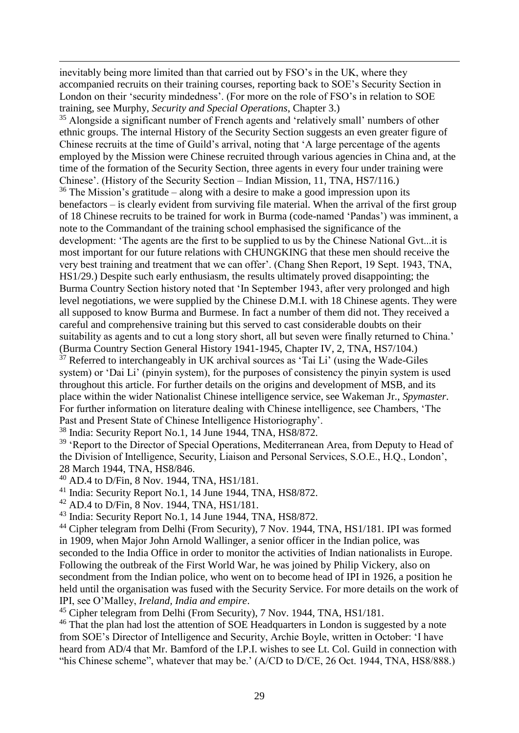inevitably being more limited than that carried out by FSO's in the UK, where they accompanied recruits on their training courses, reporting back to SOE's Security Section in London on their 'security mindedness'. (For more on the role of FSO's in relation to SOE training, see Murphy, *Security and Special Operations*, Chapter 3.)

<sup>35</sup> Alongside a significant number of French agents and 'relatively small' numbers of other ethnic groups. The internal History of the Security Section suggests an even greater figure of Chinese recruits at the time of Guild's arrival, noting that 'A large percentage of the agents employed by the Mission were Chinese recruited through various agencies in China and, at the time of the formation of the Security Section, three agents in every four under training were Chinese'. (History of the Security Section – Indian Mission, 11, TNA, HS7/116.)  $36$  The Mission's gratitude – along with a desire to make a good impression upon its benefactors – is clearly evident from surviving file material. When the arrival of the first group of 18 Chinese recruits to be trained for work in Burma (code-named 'Pandas') was imminent, a note to the Commandant of the training school emphasised the significance of the development: 'The agents are the first to be supplied to us by the Chinese National Gvt...it is most important for our future relations with CHUNGKING that these men should receive the very best training and treatment that we can offer'. (Chang Shen Report, 19 Sept. 1943, TNA, HS1/29.) Despite such early enthusiasm, the results ultimately proved disappointing; the Burma Country Section history noted that 'In September 1943, after very prolonged and high level negotiations, we were supplied by the Chinese D.M.I. with 18 Chinese agents. They were all supposed to know Burma and Burmese. In fact a number of them did not. They received a careful and comprehensive training but this served to cast considerable doubts on their suitability as agents and to cut a long story short, all but seven were finally returned to China.' (Burma Country Section General History 1941-1945, Chapter IV, 2, TNA, HS7/104.)  $37$  Referred to interchangeably in UK archival sources as 'Tai Li' (using the Wade-Giles system) or 'Dai Li' (pinyin system), for the purposes of consistency the pinyin system is used throughout this article. For further details on the origins and development of MSB, and its place within the wider Nationalist Chinese intelligence service, see Wakeman Jr., *Spymaster*. For further information on literature dealing with Chinese intelligence, see Chambers, 'The Past and Present State of Chinese Intelligence Historiography'.

<sup>38</sup> India: Security Report No.1, 14 June 1944, TNA, HS8/872.

<sup>39</sup> 'Report to the Director of Special Operations, Mediterranean Area, from Deputy to Head of the Division of Intelligence, Security, Liaison and Personal Services, S.O.E., H.Q., London', 28 March 1944, TNA, HS8/846.

 $^{40}$  AD.4 to D/Fin, 8 Nov. 1944, TNA, HS1/181.

 $\overline{a}$ 

<sup>41</sup> India: Security Report No.1, 14 June 1944, TNA, HS8/872.

<sup>42</sup> AD.4 to D/Fin, 8 Nov. 1944, TNA, HS1/181.

<sup>43</sup> India: Security Report No.1, 14 June 1944, TNA, HS8/872.

<sup>44</sup> Cipher telegram from Delhi (From Security), 7 Nov. 1944, TNA, HS1/181. IPI was formed in 1909, when Major John Arnold Wallinger, a senior officer in the Indian police, was seconded to the India Office in order to monitor the activities of Indian nationalists in Europe. Following the outbreak of the First World War, he was joined by Philip Vickery, also on secondment from the Indian police, who went on to become head of IPI in 1926, a position he held until the organisation was fused with the Security Service. For more details on the work of IPI, see O'Malley, *Ireland, India and empire*.

<sup>45</sup> Cipher telegram from Delhi (From Security), 7 Nov. 1944, TNA, HS1/181.

<sup>46</sup> That the plan had lost the attention of SOE Headquarters in London is suggested by a note from SOE's Director of Intelligence and Security, Archie Boyle, written in October: 'I have heard from AD/4 that Mr. Bamford of the I.P.I. wishes to see Lt. Col. Guild in connection with "his Chinese scheme", whatever that may be.' (A/CD to D/CE, 26 Oct. 1944, TNA, HS8/888.)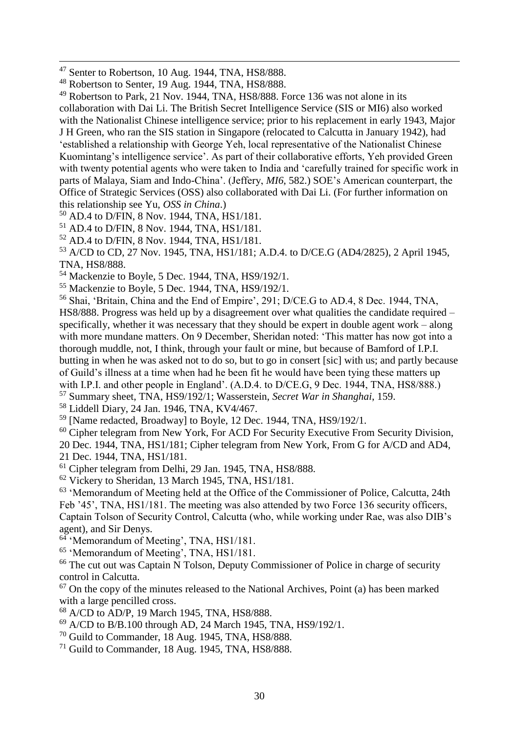$\overline{a}$ 

<sup>49</sup> Robertson to Park, 21 Nov. 1944, TNA, HS8/888. Force 136 was not alone in its collaboration with Dai Li. The British Secret Intelligence Service (SIS or MI6) also worked with the Nationalist Chinese intelligence service; prior to his replacement in early 1943, Major J H Green, who ran the SIS station in Singapore (relocated to Calcutta in January 1942), had 'established a relationship with George Yeh, local representative of the Nationalist Chinese Kuomintang's intelligence service'. As part of their collaborative efforts, Yeh provided Green with twenty potential agents who were taken to India and 'carefully trained for specific work in parts of Malaya, Siam and Indo-China'. (Jeffery, *MI6*, 582.) SOE's American counterpart, the Office of Strategic Services (OSS) also collaborated with Dai Li. (For further information on this relationship see Yu, *OSS in China*.)

<sup>50</sup> AD.4 to D/FIN, 8 Nov. 1944, TNA, HS1/181.

<sup>51</sup> AD.4 to D/FIN, 8 Nov. 1944, TNA, HS1/181.

<sup>52</sup> AD.4 to D/FIN, 8 Nov. 1944, TNA, HS1/181.

<sup>53</sup> A/CD to CD, 27 Nov. 1945, TNA, HS1/181; A.D.4. to D/CE.G (AD4/2825), 2 April 1945, TNA, HS8/888.

<sup>54</sup> Mackenzie to Boyle, 5 Dec. 1944, TNA, HS9/192/1.

 $55$  Mackenzie to Boyle, 5 Dec. 1944, TNA,  $HS9/192/1$ .

<sup>56</sup> Shai, 'Britain, China and the End of Empire', 291; D/CE.G to AD.4, 8 Dec. 1944, TNA, HS8/888. Progress was held up by a disagreement over what qualities the candidate required – specifically, whether it was necessary that they should be expert in double agent work – along with more mundane matters. On 9 December, Sheridan noted: 'This matter has now got into a thorough muddle, not, I think, through your fault or mine, but because of Bamford of I.P.I. butting in when he was asked not to do so, but to go in consert [sic] with us; and partly because of Guild's illness at a time when had he been fit he would have been tying these matters up with I.P.I. and other people in England'. (A.D.4. to D/CE.G, 9 Dec. 1944, TNA, HS8/888.) <sup>57</sup> Summary sheet, TNA, HS9/192/1; Wasserstein, *Secret War in Shanghai*, 159.

<sup>58</sup> Liddell Diary, 24 Jan. 1946, TNA, KV4/467.

<sup>59</sup> [Name redacted, Broadway] to Boyle, 12 Dec. 1944, TNA, HS9/192/1.

<sup>60</sup> Cipher telegram from New York, For ACD For Security Executive From Security Division, 20 Dec. 1944, TNA, HS1/181; Cipher telegram from New York, From G for A/CD and AD4, 21 Dec. 1944, TNA, HS1/181.

<sup>61</sup> Cipher telegram from Delhi, 29 Jan. 1945, TNA, HS8/888.

<sup>62</sup> Vickery to Sheridan, 13 March 1945, TNA, HS1/181.

 $63$  'Memorandum of Meeting held at the Office of the Commissioner of Police, Calcutta, 24th Feb '45', TNA, HS1/181. The meeting was also attended by two Force 136 security officers, Captain Tolson of Security Control, Calcutta (who, while working under Rae, was also DIB's agent), and Sir Denys.

<sup>64</sup> 'Memorandum of Meeting', TNA, HS1/181.

<sup>65</sup> 'Memorandum of Meeting', TNA, HS1/181.

 $66$  The cut out was Captain N Tolson, Deputy Commissioner of Police in charge of security control in Calcutta.

 $67$  On the copy of the minutes released to the National Archives, Point (a) has been marked with a large pencilled cross.

<sup>68</sup> A/CD to AD/P, 19 March 1945, TNA, HS8/888.

<sup>69</sup> A/CD to B/B.100 through AD, 24 March 1945, TNA, HS9/192/1.

<sup>70</sup> Guild to Commander, 18 Aug. 1945, TNA, HS8/888.

<sup>71</sup> Guild to Commander, 18 Aug. 1945, TNA, HS8/888.

 $47$  Senter to Robertson, 10 Aug. 1944, TNA, HS8/888.

<sup>48</sup> Robertson to Senter, 19 Aug. 1944, TNA, HS8/888.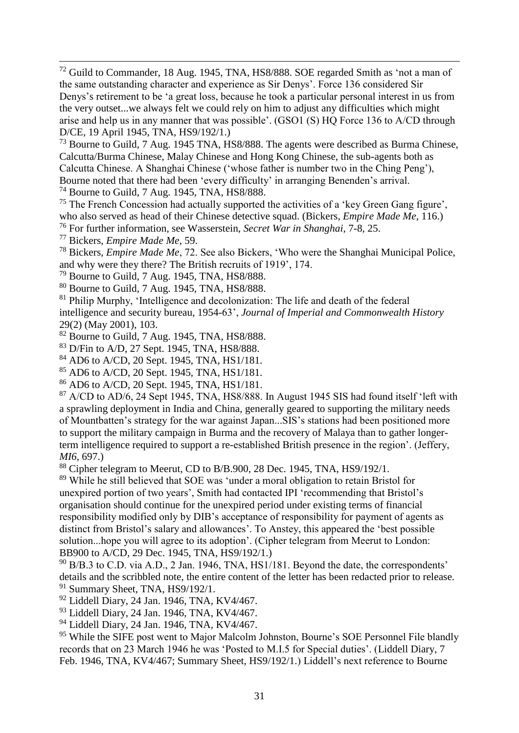$72$  Guild to Commander, 18 Aug. 1945, TNA, HS8/888. SOE regarded Smith as 'not a man of the same outstanding character and experience as Sir Denys'. Force 136 considered Sir Denys's retirement to be 'a great loss, because he took a particular personal interest in us from the very outset...we always felt we could rely on him to adjust any difficulties which might arise and help us in any manner that was possible'. (GSO1 (S) HQ Force 136 to A/CD through D/CE, 19 April 1945, TNA, HS9/192/1.)

<sup>73</sup> Bourne to Guild, 7 Aug. 1945 TNA, HS8/888. The agents were described as Burma Chinese, Calcutta/Burma Chinese, Malay Chinese and Hong Kong Chinese, the sub-agents both as Calcutta Chinese. A Shanghai Chinese ('whose father is number two in the Ching Peng'), Bourne noted that there had been 'every difficulty' in arranging Benenden's arrival.

<sup>74</sup> Bourne to Guild, 7 Aug. 1945, TNA, HS8/888.

<sup>75</sup> The French Concession had actually supported the activities of a 'key Green Gang figure', who also served as head of their Chinese detective squad. (Bickers, *Empire Made Me*, 116.)

<sup>76</sup> For further information, see Wasserstein, *Secret War in Shanghai*, 7-8, 25.

<sup>77</sup> Bickers, *Empire Made Me*, 59.

 $\overline{a}$ 

<sup>78</sup> Bickers, *Empire Made Me*, 72. See also Bickers, 'Who were the Shanghai Municipal Police, and why were they there? The British recruits of 1919', 174.

<sup>79</sup> Bourne to Guild, 7 Aug. 1945, TNA, HS8/888.

<sup>80</sup> Bourne to Guild, 7 Aug. 1945, TNA, HS8/888.

 $81$  Philip Murphy, 'Intelligence and decolonization: The life and death of the federal intelligence and security bureau, 1954-63', *Journal of Imperial and Commonwealth History* 29(2) (May 2001), 103.

<sup>82</sup> Bourne to Guild, 7 Aug. 1945, TNA, HS8/888.

<sup>83</sup> D/Fin to A/D, 27 Sept. 1945, TNA, HS8/888.

<sup>84</sup> AD6 to A/CD, 20 Sept. 1945, TNA, HS1/181.

<sup>85</sup> AD6 to A/CD, 20 Sept. 1945, TNA, HS1/181.

<sup>86</sup> AD6 to A/CD, 20 Sept. 1945, TNA, HS1/181.

 $87$  A/CD to AD/6, 24 Sept 1945, TNA, HS8/888. In August 1945 SIS had found itself 'left with a sprawling deployment in India and China, generally geared to supporting the military needs of Mountbatten's strategy for the war against Japan...SIS's stations had been positioned more to support the military campaign in Burma and the recovery of Malaya than to gather longerterm intelligence required to support a re-established British presence in the region'. (Jeffery, *MI6*, 697.)

<sup>88</sup> Cipher telegram to Meerut, CD to B/B.900, 28 Dec. 1945, TNA, HS9/192/1.

<sup>89</sup> While he still believed that SOE was 'under a moral obligation to retain Bristol for unexpired portion of two years', Smith had contacted IPI 'recommending that Bristol's organisation should continue for the unexpired period under existing terms of financial responsibility modified only by DIB's acceptance of responsibility for payment of agents as distinct from Bristol's salary and allowances'. To Anstey, this appeared the 'best possible solution...hope you will agree to its adoption'. (Cipher telegram from Meerut to London: BB900 to A/CD, 29 Dec. 1945, TNA, HS9/192/1.)

 $90$  B/B.3 to C.D. via A.D., 2 Jan. 1946, TNA, HS1/181. Beyond the date, the correspondents' details and the scribbled note, the entire content of the letter has been redacted prior to release. <sup>91</sup> Summary Sheet, TNA, HS9/192/1.

<sup>92</sup> Liddell Diary, 24 Jan. 1946, TNA, KV4/467.

<sup>93</sup> Liddell Diary, 24 Jan. 1946, TNA, KV4/467.

<sup>94</sup> Liddell Diary, 24 Jan. 1946, TNA, KV4/467.

<sup>95</sup> While the SIFE post went to Major Malcolm Johnston, Bourne's SOE Personnel File blandly records that on 23 March 1946 he was 'Posted to M.I.5 for Special duties'. (Liddell Diary, 7 Feb. 1946, TNA, KV4/467; Summary Sheet, HS9/192/1.) Liddell's next reference to Bourne